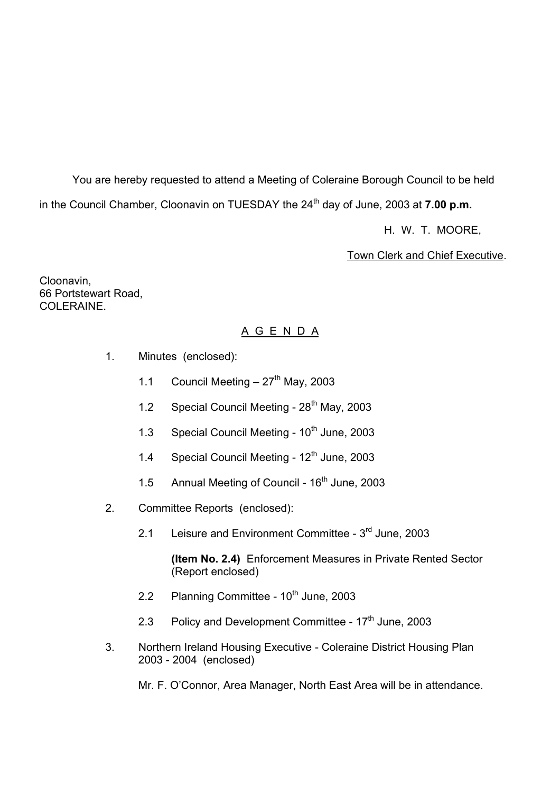You are hereby requested to attend a Meeting of Coleraine Borough Council to be held in the Council Chamber, Cloonavin on TUESDAY the 24<sup>th</sup> day of June, 2003 at **7.00 p.m.** 

H. W. T. MOORE,

Town Clerk and Chief Executive.

Cloonavin, 66 Portstewart Road, COLERAINE.

# A G E N D A

- 1. Minutes (enclosed):
	- 1.1 Council Meeting  $-27<sup>th</sup>$  May, 2003
	- 1.2 Special Council Meeting 28<sup>th</sup> May, 2003
	- 1.3 Special Council Meeting  $10^{th}$  June, 2003
	- 1.4 Special Council Meeting 12<sup>th</sup> June, 2003
	- 1.5 Annual Meeting of Council 16<sup>th</sup> June, 2003
- 2. Committee Reports (enclosed):
	- 2.1 Leisure and Environment Committee 3<sup>rd</sup> June, 2003

 **(Item No. 2.4)** Enforcement Measures in Private Rented Sector (Report enclosed)

- 2.2 Planning Committee  $10^{th}$  June, 2003
- 2.3 Policy and Development Committee 17<sup>th</sup> June, 2003
- 3. Northern Ireland Housing Executive Coleraine District Housing Plan 2003 - 2004 (enclosed)

Mr. F. O'Connor, Area Manager, North East Area will be in attendance.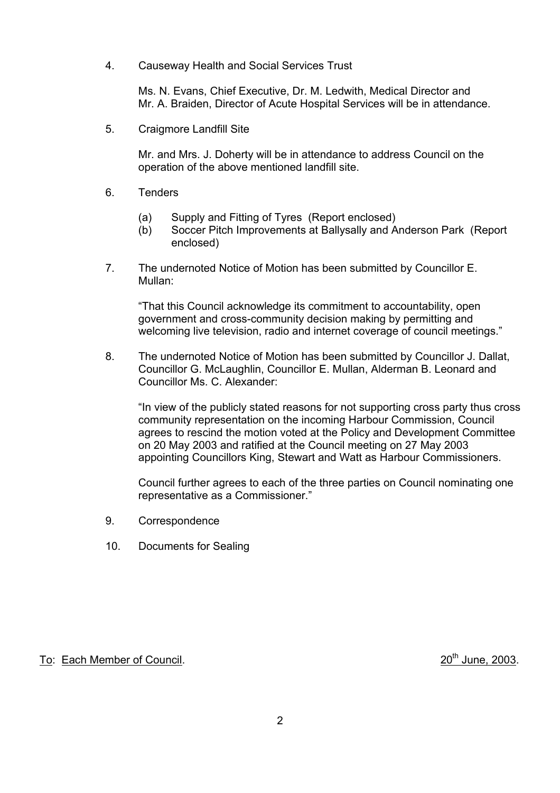4. Causeway Health and Social Services Trust

 Ms. N. Evans, Chief Executive, Dr. M. Ledwith, Medical Director and Mr. A. Braiden, Director of Acute Hospital Services will be in attendance.

5. Craigmore Landfill Site

 Mr. and Mrs. J. Doherty will be in attendance to address Council on the operation of the above mentioned landfill site.

- 6. Tenders
	- (a) Supply and Fitting of Tyres (Report enclosed)
	- (b) Soccer Pitch Improvements at Ballysally and Anderson Park (Report enclosed)
- 7. The undernoted Notice of Motion has been submitted by Councillor E. Mullan:

 ìThat this Council acknowledge its commitment to accountability, open government and cross-community decision making by permitting and welcoming live television, radio and internet coverage of council meetings."

 8. The undernoted Notice of Motion has been submitted by Councillor J. Dallat, Councillor G. McLaughlin, Councillor E. Mullan, Alderman B. Leonard and Councillor Ms. C. Alexander:

"In view of the publicly stated reasons for not supporting cross party thus cross community representation on the incoming Harbour Commission, Council agrees to rescind the motion voted at the Policy and Development Committee on 20 May 2003 and ratified at the Council meeting on 27 May 2003 appointing Councillors King, Stewart and Watt as Harbour Commissioners.

Council further agrees to each of the three parties on Council nominating one representative as a Commissioner."

- 9. Correspondence
- 10. Documents for Sealing

# To: Each Member of Council. 2003.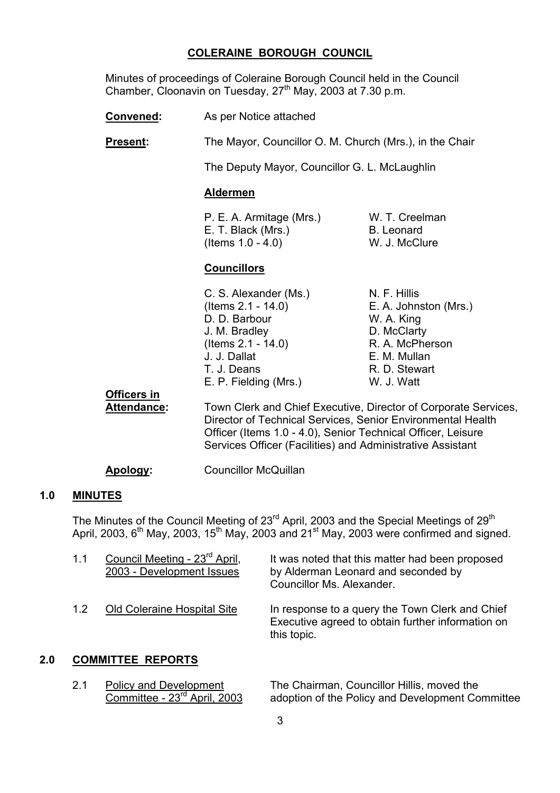#### **COLERAINE BOROUGH COUNCIL**

 Minutes of proceedings of Coleraine Borough Council held in the Council Chamber, Cloonavin on Tuesday, 27<sup>th</sup> May, 2003 at 7.30 p.m.

**Convened:** As per Notice attached

**Present:** The Mayor, Councillor O. M. Church (Mrs.), in the Chair

The Deputy Mayor, Councillor G. L. McLaughlin

#### **Aldermen**

 P. E. A. Armitage (Mrs.) W. T. Creelman E. T. Black (Mrs.) B. Leonard (Items 1.0 - 4.0) W. J. McClure

#### **Councillors**

| C. S. Alexander (Ms.) | N. F. Hillis |
|-----------------------|--------------|
| (Items 2.1 - 14.0)    | E. A. Johns  |
| D. D. Barbour         | W. A. King   |
| J. M. Bradley         | D. McClart   |
| (Items 2.1 - 14.0)    | R. A. McPh   |
| J. J. Dallat          | E. M. Mulla  |
| T. J. Deans           | R. D. Stew   |
| E. P. Fielding (Mrs.) | W. J. Watt   |
|                       |              |

N. F. Hillis E. A. Johnston (Mrs.) W. A. King D. McClarty R. A. McPherson E. M. Mullan R. D. Stewart

**Officers in**

 **Attendance:** Town Clerk and Chief Executive, Director of Corporate Services, Director of Technical Services, Senior Environmental Health Officer (Items 1.0 - 4.0), Senior Technical Officer, Leisure Services Officer (Facilities) and Administrative Assistant

**Apology:** Councillor McQuillan

#### **1.0 MINUTES**

The Minutes of the Council Meeting of 23<sup>rd</sup> April, 2003 and the Special Meetings of 29<sup>th</sup> April, 2003,  $6<sup>th</sup>$  May, 2003, 15<sup>th</sup> May, 2003 and 21<sup>st</sup> May, 2003 were confirmed and signed.

| 1.1 | Council Meeting - 23 <sup>rd</sup> April,<br>2003 - Development Issues | It was noted that this matter had been proposed<br>by Alderman Leonard and seconded by<br>Councillor Ms. Alexander. |
|-----|------------------------------------------------------------------------|---------------------------------------------------------------------------------------------------------------------|
| 1.2 | <b>Old Coleraine Hospital Site</b>                                     | In response to a query the Town Clerk and Chief<br>Executive agreed to obtain further information on<br>this topic. |

## **2.0 COMMITTEE REPORTS**

2.1 Policy and Development The Chairman, Councillor Hillis, moved the Committee - 23<sup>rd</sup> April, 2003 adoption of the Policy and Development Co adoption of the Policy and Development Committee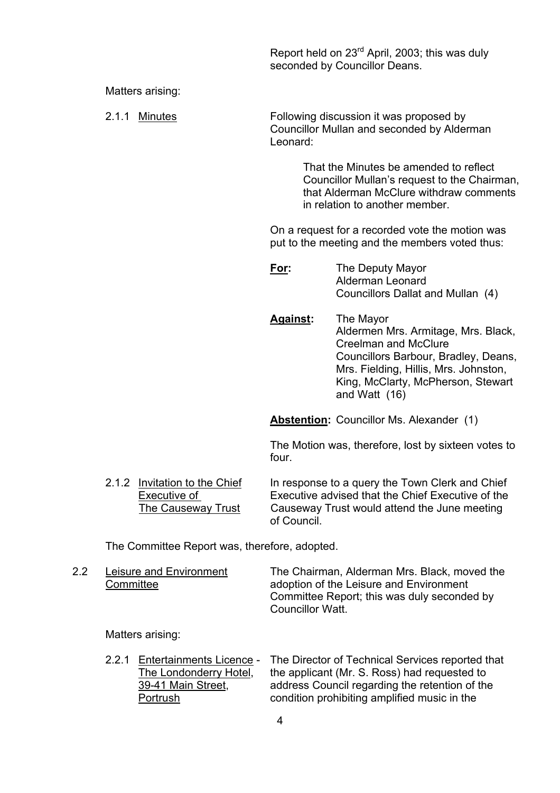Report held on 23rd April, 2003; this was duly seconded by Councillor Deans.

Matters arising:

 2.1.1 Minutes Following discussion it was proposed by Councillor Mullan and seconded by Alderman Leonard:

> That the Minutes be amended to reflect Councillor Mullanís request to the Chairman, that Alderman McClure withdraw comments in relation to another member.

 On a request for a recorded vote the motion was put to the meeting and the members voted thus:

| <u>For:</u> | The Deputy Mayor                  |  |
|-------------|-----------------------------------|--|
|             | Alderman Leonard                  |  |
|             | Councillors Dallat and Mullan (4) |  |

 **Against:** The Mayor Aldermen Mrs. Armitage, Mrs. Black, Creelman and McClure Councillors Barbour, Bradley, Deans, Mrs. Fielding, Hillis, Mrs. Johnston, King, McClarty, McPherson, Stewart and Watt (16)

**Abstention:** Councillor Ms. Alexander (1)

The Motion was, therefore, lost by sixteen votes to four.

 2.1.2 Invitation to the Chief In response to a query the Town Clerk and Chief Executive of Executive advised that the Chief Executive of the The Causeway Trust Causeway Trust would attend the June meeting of Council.

The Committee Report was, therefore, adopted.

2.2 Leisure and Environment The Chairman, Alderman Mrs. Black, moved the Committee **adoption of the Leisure and Environment**  Committee Report; this was duly seconded by Councillor Watt.

Matters arising:

 2.2.1 Entertainments Licence - The Director of Technical Services reported that The Londonderry Hotel, the applicant (Mr. S. Ross) had requested to 39-41 Main Street, address Council regarding the retention of the Portrush condition prohibiting amplified music in the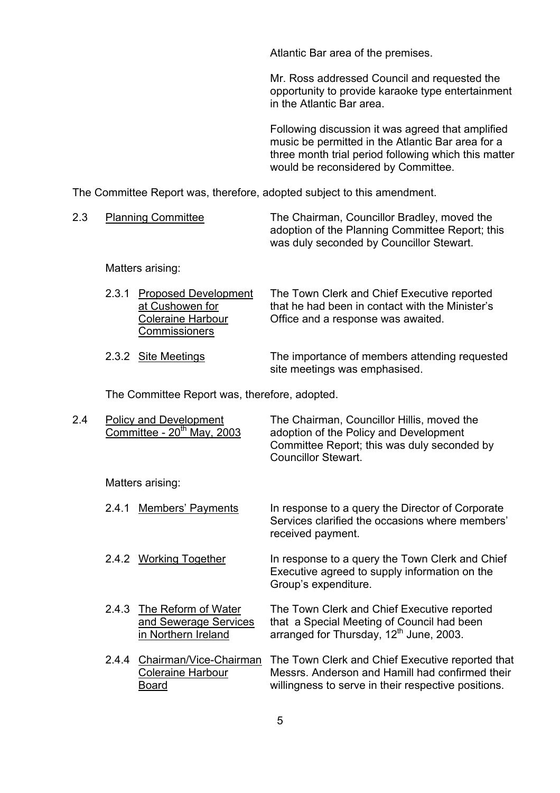Atlantic Bar area of the premises.

Mr. Ross addressed Council and requested the opportunity to provide karaoke type entertainment in the Atlantic Bar area.

Following discussion it was agreed that amplified music be permitted in the Atlantic Bar area for a three month trial period following which this matter would be reconsidered by Committee.

The Committee Report was, therefore, adopted subject to this amendment.

| <b>Planning Committee</b> | The Chairman, Councillor Bradley, moved the     |
|---------------------------|-------------------------------------------------|
|                           | adoption of the Planning Committee Report; this |
|                           | was duly seconded by Councillor Stewart.        |

Matters arising:

- 2.3.1 Proposed Development The Town Clerk and Chief Executive reported at Cushowen for that he had been in contact with the Ministerís Coleraine Harbour Office and a response was awaited. **Commissioners**
- 2.3.2 Site Meetings The importance of members attending requested site meetings was emphasised.

Services clarified the occasions where members'

The Committee Report was, therefore, adopted.

| 2.4 | Policy and Development<br>Committee - $20th$ May, 2003 | The Chairman, Councillor Hillis, moved the<br>adoption of the Policy and Development<br>Committee Report; this was duly seconded by<br><b>Councillor Stewart.</b> |
|-----|--------------------------------------------------------|-------------------------------------------------------------------------------------------------------------------------------------------------------------------|
|     | Matters arising:                                       |                                                                                                                                                                   |
|     | 2.4.1 Members' Payments                                | In response to a query the Director of Corporate                                                                                                                  |

2.4.2 Working Together In response to a query the Town Clerk and Chief Executive agreed to supply information on the Group's expenditure.

received payment.

- 2.4.3 The Reform of Water The Town Clerk and Chief Executive reported and Sewerage Services that a Special Meeting of Council had been in Northern Ireland arranged for Thursday,  $12<sup>th</sup>$  June, 2003.
- 2.4.4 Chairman/Vice-Chairman The Town Clerk and Chief Executive reported that Coleraine Harbour Messrs. Anderson and Hamill had confirmed their Board willingness to serve in their respective positions.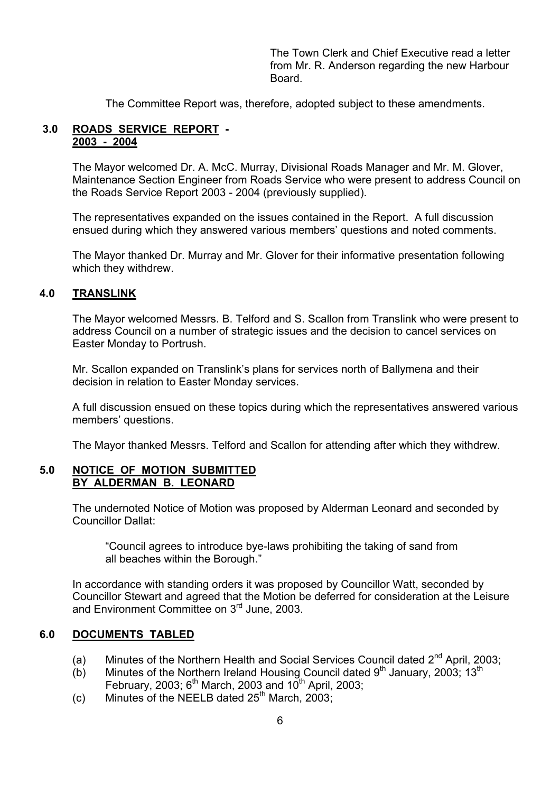The Town Clerk and Chief Executive read a letter from Mr. R. Anderson regarding the new Harbour Board.

The Committee Report was, therefore, adopted subject to these amendments.

#### **3.0 ROADS SERVICE REPORT - 2003 - 2004**

The Mayor welcomed Dr. A. McC. Murray, Divisional Roads Manager and Mr. M. Glover, Maintenance Section Engineer from Roads Service who were present to address Council on the Roads Service Report 2003 - 2004 (previously supplied).

The representatives expanded on the issues contained in the Report. A full discussion ensued during which they answered various members' questions and noted comments.

The Mayor thanked Dr. Murray and Mr. Glover for their informative presentation following which they withdrew.

#### **4.0 TRANSLINK**

The Mayor welcomed Messrs. B. Telford and S. Scallon from Translink who were present to address Council on a number of strategic issues and the decision to cancel services on Easter Monday to Portrush.

Mr. Scallon expanded on Translinkís plans for services north of Ballymena and their decision in relation to Easter Monday services.

A full discussion ensued on these topics during which the representatives answered various members' questions.

The Mayor thanked Messrs. Telford and Scallon for attending after which they withdrew.

#### **5.0 NOTICE OF MOTION SUBMITTED BY ALDERMAN B. LEONARD**

The undernoted Notice of Motion was proposed by Alderman Leonard and seconded by Councillor Dallat:

 ìCouncil agrees to introduce bye-laws prohibiting the taking of sand from all beaches within the Borough."

In accordance with standing orders it was proposed by Councillor Watt, seconded by Councillor Stewart and agreed that the Motion be deferred for consideration at the Leisure and Environment Committee on 3<sup>rd</sup> June, 2003.

#### **6.0 DOCUMENTS TABLED**

- (a) Minutes of the Northern Health and Social Services Council dated  $2^{nd}$  April, 2003;
- (b) Minutes of the Northern Ireland Housing Council dated  $9<sup>th</sup>$  January, 2003; 13<sup>th</sup> February, 2003;  $6<sup>th</sup>$  March, 2003 and 10<sup>th</sup> April, 2003;
- (c) Minutes of the NEELB dated  $25<sup>th</sup>$  March, 2003;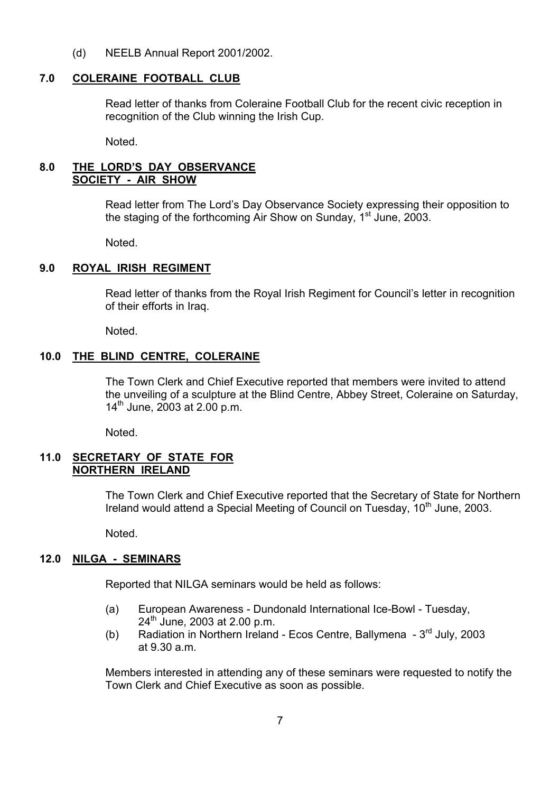(d) NEELB Annual Report 2001/2002.

#### **7.0 COLERAINE FOOTBALL CLUB**

Read letter of thanks from Coleraine Football Club for the recent civic reception in recognition of the Club winning the Irish Cup.

Noted.

#### **8.0 THE LORDíS DAY OBSERVANCE SOCIETY - AIR SHOW**

Read letter from The Lord's Day Observance Society expressing their opposition to the staging of the forthcoming Air Show on Sunday, 1<sup>st</sup> June, 2003.

Noted.

## **9.0 ROYAL IRISH REGIMENT**

Read letter of thanks from the Royal Irish Regiment for Council's letter in recognition of their efforts in Iraq.

Noted.

## **10.0 THE BLIND CENTRE, COLERAINE**

 The Town Clerk and Chief Executive reported that members were invited to attend the unveiling of a sculpture at the Blind Centre, Abbey Street, Coleraine on Saturday,  $14^{th}$  June, 2003 at 2.00 p.m.

Noted.

#### **11.0 SECRETARY OF STATE FOR NORTHERN IRELAND**

 The Town Clerk and Chief Executive reported that the Secretary of State for Northern Ireland would attend a Special Meeting of Council on Tuesday, 10<sup>th</sup> June, 2003.

Noted.

## **12.0 NILGA - SEMINARS**

Reported that NILGA seminars would be held as follows:

- (a) European Awareness Dundonald International Ice-Bowl Tuesday,  $24^{th}$  June, 2003 at 2.00 p.m.
- (b) Radiation in Northern Ireland Ecos Centre, Ballymena  $3<sup>rd</sup>$  July, 2003 at  $9.30 a m$

 Members interested in attending any of these seminars were requested to notify the Town Clerk and Chief Executive as soon as possible.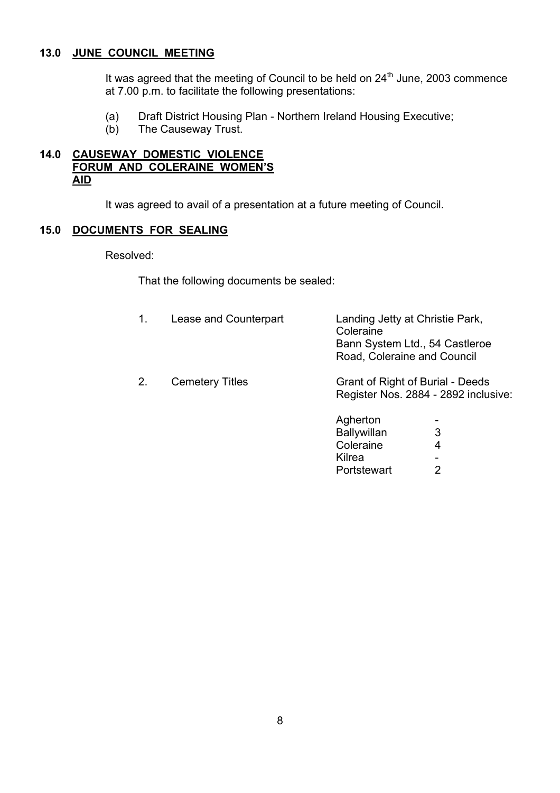### **13.0 JUNE COUNCIL MEETING**

It was agreed that the meeting of Council to be held on  $24<sup>th</sup>$  June, 2003 commence at 7.00 p.m. to facilitate the following presentations:

- (a) Draft District Housing Plan Northern Ireland Housing Executive;
- (b) The Causeway Trust.

## **14.0 CAUSEWAY DOMESTIC VIOLENCE FORUM AND COLERAINE WOMEN'S AID**

It was agreed to avail of a presentation at a future meeting of Council.

#### **15.0 DOCUMENTS FOR SEALING**

Resolved:

That the following documents be sealed:

|    | Lease and Counterpart  | Landing Jetty at Christie Park,<br>Coleraine<br>Road, Coleraine and Council | Bann System Ltd., 54 Castleroe                                           |
|----|------------------------|-----------------------------------------------------------------------------|--------------------------------------------------------------------------|
| 2. | <b>Cemetery Titles</b> |                                                                             | Grant of Right of Burial - Deeds<br>Register Nos. 2884 - 2892 inclusive: |
|    |                        | Agherton                                                                    | $\overline{\phantom{a}}$                                                 |
|    |                        | <b>Ballywillan</b>                                                          | 3                                                                        |
|    |                        | Coleraine                                                                   | 4                                                                        |
|    |                        | Kilrea                                                                      |                                                                          |
|    |                        | Portstewart                                                                 | 2                                                                        |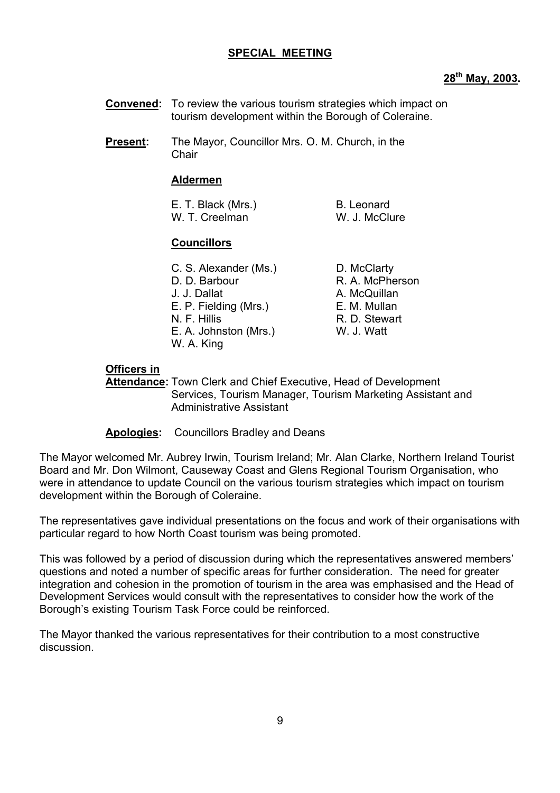#### **SPECIAL MEETING**

#### **28th May, 2003.**

- **Convened:** To review the various tourism strategies which impact on tourism development within the Borough of Coleraine.
- **Present:** The Mayor, Councillor Mrs. O. M. Church, in the Chair

#### **Aldermen**

| E. T. Black (Mrs.) | B. Leonard    |
|--------------------|---------------|
| W. T. Creelman     | W. J. McClure |

#### **Councillors**

| C. S. Alexander (Ms.)<br>D. D. Barbour<br>J. J. Dallat<br>E. P. Fielding (Mrs.)<br>N. F. Hillis<br>E. A. Johnston (Mrs.)<br>W. A. King | D. McClarty<br>R. A. McPherson<br>A. McQuillan<br>E. M. Mullan<br>R. D. Stewart<br>W. J. Watt |
|----------------------------------------------------------------------------------------------------------------------------------------|-----------------------------------------------------------------------------------------------|
|----------------------------------------------------------------------------------------------------------------------------------------|-----------------------------------------------------------------------------------------------|

#### **Officers in**

 **Attendance:** Town Clerk and Chief Executive, Head of Development Services, Tourism Manager, Tourism Marketing Assistant and Administrative Assistant

**Apologies:** Councillors Bradley and Deans

The Mayor welcomed Mr. Aubrey Irwin, Tourism Ireland; Mr. Alan Clarke, Northern Ireland Tourist Board and Mr. Don Wilmont, Causeway Coast and Glens Regional Tourism Organisation, who were in attendance to update Council on the various tourism strategies which impact on tourism development within the Borough of Coleraine.

The representatives gave individual presentations on the focus and work of their organisations with particular regard to how North Coast tourism was being promoted.

This was followed by a period of discussion during which the representatives answered members' questions and noted a number of specific areas for further consideration. The need for greater integration and cohesion in the promotion of tourism in the area was emphasised and the Head of Development Services would consult with the representatives to consider how the work of the Borough's existing Tourism Task Force could be reinforced.

The Mayor thanked the various representatives for their contribution to a most constructive discussion.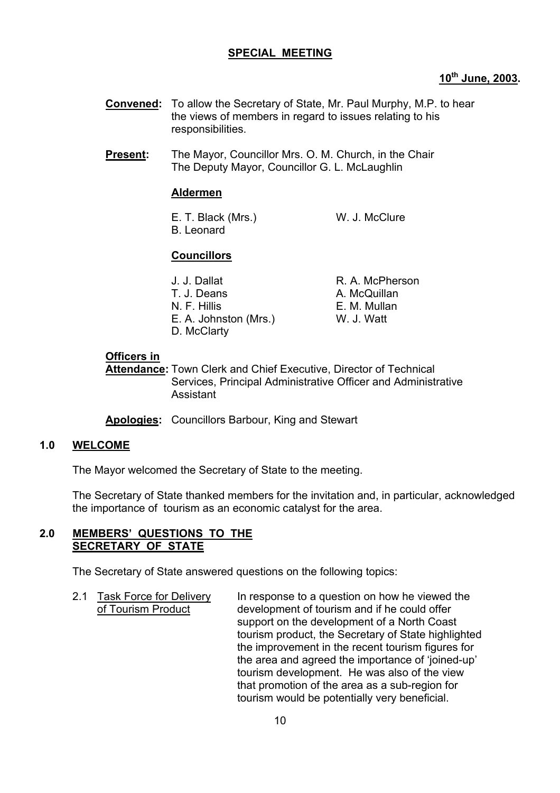# **SPECIAL MEETING**

# **10th June, 2003.**

- **Convened:** To allow the Secretary of State, Mr. Paul Murphy, M.P. to hear the views of members in regard to issues relating to his responsibilities.
- **Present:** The Mayor, Councillor Mrs. O. M. Church, in the Chair The Deputy Mayor, Councillor G. L. McLaughlin

#### **Aldermen**

E. T. Black (Mrs.) W. J. McClure B. Leonard

# **Councillors**

| J. J. Dallat          | R. A. McPherson |
|-----------------------|-----------------|
| T. J. Deans           | A. McQuillan    |
| N. F. Hillis          | E. M. Mullan    |
| E. A. Johnston (Mrs.) | W. J. Watt      |
| D. McClarty           |                 |

#### **Officers in**

**Attendance:** Town Clerk and Chief Executive, Director of Technical Services, Principal Administrative Officer and Administrative Assistant

**Apologies:** Councillors Barbour, King and Stewart

## **1.0 WELCOME**

The Mayor welcomed the Secretary of State to the meeting.

The Secretary of State thanked members for the invitation and, in particular, acknowledged the importance of tourism as an economic catalyst for the area.

#### **2.0 MEMBERSí QUESTIONS TO THE SECRETARY OF STATE**

The Secretary of State answered questions on the following topics:

2.1 Task Force for Delivery In response to a question on how he viewed the of Tourism Product development of tourism and if he could offer support on the development of a North Coast tourism product, the Secretary of State highlighted the improvement in the recent tourism figures for the area and agreed the importance of 'joined-up' tourism development. He was also of the view that promotion of the area as a sub-region for tourism would be potentially very beneficial.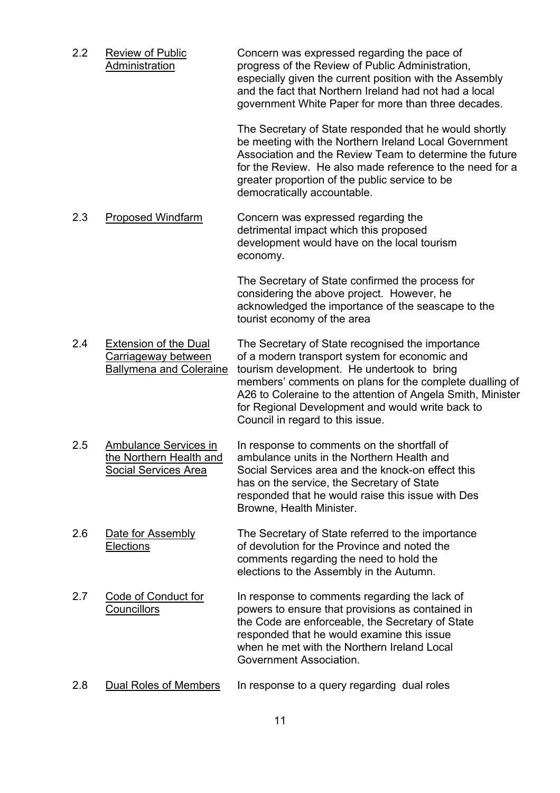2.2 Review of Public Concern was expressed regarding the pace of Administration progress of the Review of Public Administration, especially given the current position with the Assembly and the fact that Northern Ireland had not had a local

> The Secretary of State responded that he would shortly be meeting with the Northern Ireland Local Government Association and the Review Team to determine the future for the Review. He also made reference to the need for a greater proportion of the public service to be democratically accountable.

government White Paper for more than three decades.

2.3 Proposed Windfarm Concern was expressed regarding the detrimental impact which this proposed development would have on the local tourism economy.

> The Secretary of State confirmed the process for considering the above project. However, he acknowledged the importance of the seascape to the tourist economy of the area

- 2.4 Extension of the Dual The Secretary of State recognised the importance Carriageway between of a modern transport system for economic and Ballymena and Coleraine tourism development. He undertook to bring members' comments on plans for the complete dualling of A26 to Coleraine to the attention of Angela Smith, Minister for Regional Development and would write back to Council in regard to this issue.
- 2.5 Ambulance Services in In response to comments on the shortfall of the Northern Health and ambulance units in the Northern Health and Social Services Area Social Services area and the knock-on effect this has on the service, the Secretary of State responded that he would raise this issue with Des Browne, Health Minister.
- 2.6 Date for Assembly The Secretary of State referred to the importance Elections of devolution for the Province and noted the comments regarding the need to hold the elections to the Assembly in the Autumn.
- 2.7 Code of Conduct for In response to comments regarding the lack of Councillors powers to ensure that provisions as contained in the Code are enforceable, the Secretary of State responded that he would examine this issue when he met with the Northern Ireland Local Government Association.
- 2.8 Dual Roles of Members In response to a query regarding dual roles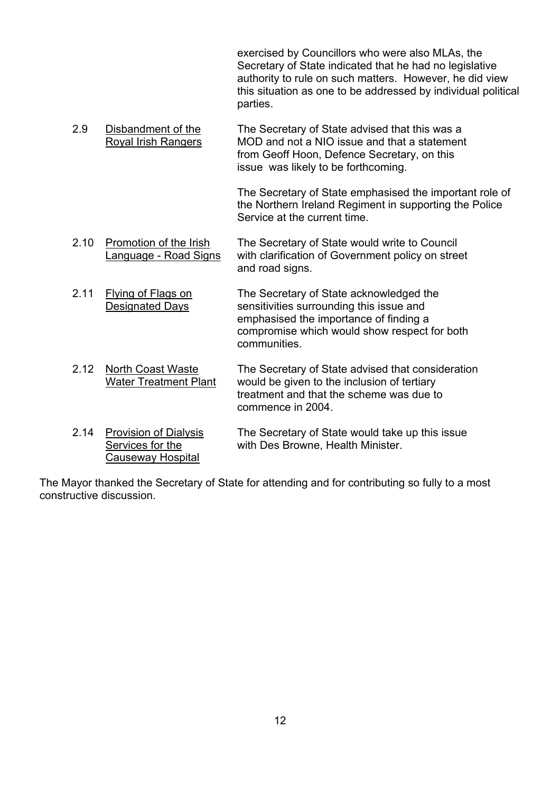exercised by Councillors who were also MLAs, the Secretary of State indicated that he had no legislative authority to rule on such matters. However, he did view this situation as one to be addressed by individual political parties.

2.9 Disbandment of the The Secretary of State advised that this was a<br>Royal Irish Rangers MOD and not a NIO issue and that a statement MOD and not a NIO issue and that a statement from Geoff Hoon, Defence Secretary, on this issue was likely to be forthcoming.

> The Secretary of State emphasised the important role of the Northern Ireland Regiment in supporting the Police Service at the current time.

- 2.10 Promotion of the Irish The Secretary of State would write to Council Language - Road Signs with clarification of Government policy on street and road signs.
- 2.11 Flying of Flags on The Secretary of State acknowledged the Designated Days sensitivities surrounding this issue and emphasised the importance of finding a compromise which would show respect for both communities.
- 2.12 North Coast Waste The Secretary of State advised that consideration Water Treatment Plant would be given to the inclusion of tertiary treatment and that the scheme was due to commence in 2004.
- 2.14 Provision of Dialysis The Secretary of State would take up this issue Services for the with Des Browne, Health Minister. Causeway Hospital

The Mayor thanked the Secretary of State for attending and for contributing so fully to a most constructive discussion.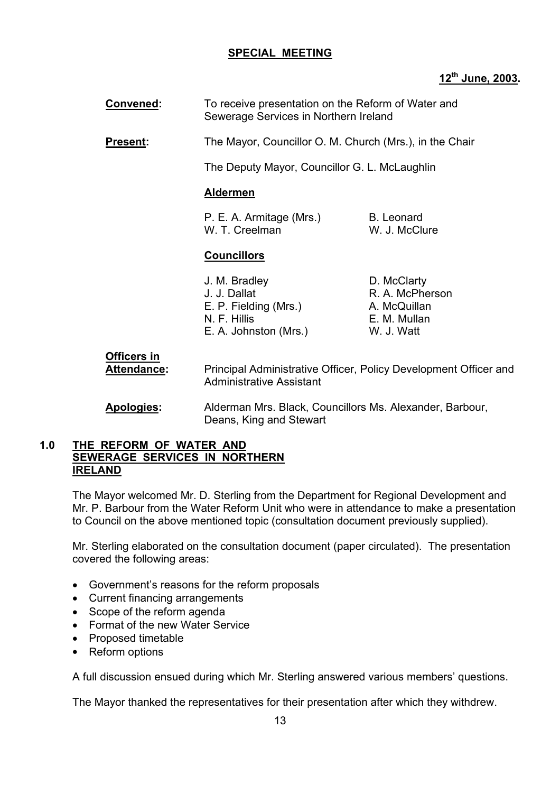# **SPECIAL MEETING**

# **12th June, 2003.**

- **Convened:** To receive presentation on the Reform of Water and Sewerage Services in Northern Ireland
- **Present:** The Mayor, Councillor O. M. Church (Mrs.), in the Chair

The Deputy Mayor, Councillor G. L. McLaughlin

#### **Aldermen**

| P. E. A. Armitage (Mrs.) | B. Leonard    |
|--------------------------|---------------|
| W. T. Creelman           | W. J. McClure |

#### **Councillors**

| J. M. Bradley         |  |
|-----------------------|--|
| J. J. Dallat          |  |
| E. P. Fielding (Mrs.) |  |
| N. F. Hillis          |  |
| E. A. Johnston (Mrs.) |  |

D. McClarty R. A. McPherson A. McQuillan E. M. Mullan W. J. Watt

# **Officers in Attendance:** Principal Administrative Officer, Policy Development Officer and Administrative Assistant

 **Apologies:** Alderman Mrs. Black, Councillors Ms. Alexander, Barbour, Deans, King and Stewart

#### **1.0 THE REFORM OF WATER AND SEWERAGE SERVICES IN NORTHERN IRELAND**

The Mayor welcomed Mr. D. Sterling from the Department for Regional Development and Mr. P. Barbour from the Water Reform Unit who were in attendance to make a presentation to Council on the above mentioned topic (consultation document previously supplied).

Mr. Sterling elaborated on the consultation document (paper circulated). The presentation covered the following areas:

- Government's reasons for the reform proposals
- Current financing arrangements
- Scope of the reform agenda
- Format of the new Water Service
- Proposed timetable
- Reform options

A full discussion ensued during which Mr. Sterling answered various membersí questions.

The Mayor thanked the representatives for their presentation after which they withdrew.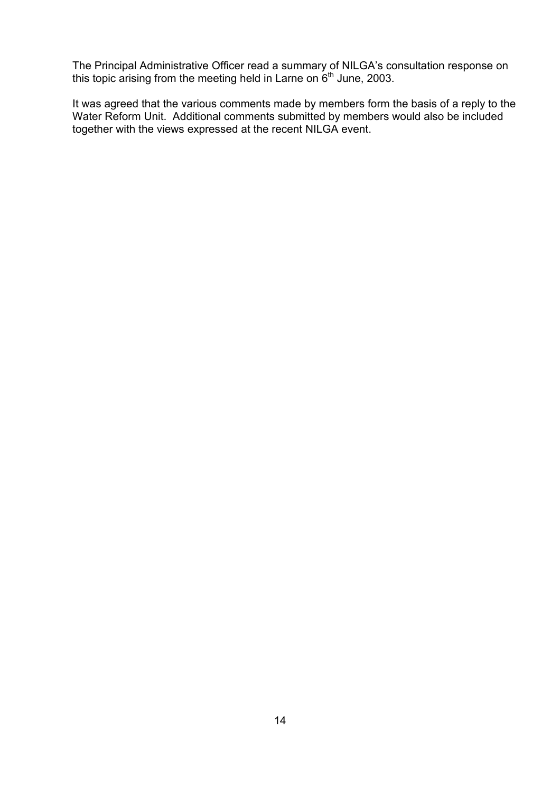The Principal Administrative Officer read a summary of NILGAís consultation response on this topic arising from the meeting held in Larne on  $6<sup>th</sup>$  June, 2003.

It was agreed that the various comments made by members form the basis of a reply to the Water Reform Unit. Additional comments submitted by members would also be included together with the views expressed at the recent NILGA event.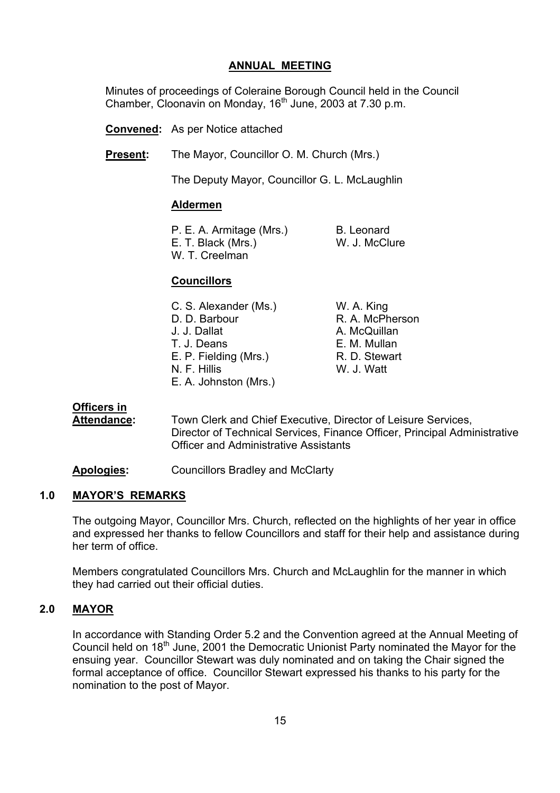## **ANNUAL MEETING**

 Minutes of proceedings of Coleraine Borough Council held in the Council Chamber, Cloonavin on Monday, 16<sup>th</sup> June, 2003 at 7.30 p.m.

**Convened:** As per Notice attached

**Present:** The Mayor, Councillor O. M. Church (Mrs.)

The Deputy Mayor, Councillor G. L. McLaughlin

#### **Aldermen**

P. E. A. Armitage (Mrs.) B. Leonard<br>E. T. Black (Mrs.) B. W. J. McClure E. T. Black (Mrs.) W. T. Creelman

## **Councillors**

| C. S. Alexander (Ms.) | W. A. King      |
|-----------------------|-----------------|
| D. D. Barbour         | R. A. McPherson |
| J. J. Dallat          | A. McQuillan    |
| T. J. Deans           | E. M. Mullan    |
| E. P. Fielding (Mrs.) | R. D. Stewart   |
| N. F. Hillis          | W. J. Watt      |
| E. A. Johnston (Mrs.) |                 |

#### **Officers in**

 **Attendance:** Town Clerk and Chief Executive, Director of Leisure Services, Director of Technical Services, Finance Officer, Principal Administrative Officer and Administrative Assistants

**Apologies:** Councillors Bradley and McClarty

#### **1.0 MAYORíS REMARKS**

The outgoing Mayor, Councillor Mrs. Church, reflected on the highlights of her year in office and expressed her thanks to fellow Councillors and staff for their help and assistance during her term of office.

Members congratulated Councillors Mrs. Church and McLaughlin for the manner in which they had carried out their official duties.

# **2.0 MAYOR**

In accordance with Standing Order 5.2 and the Convention agreed at the Annual Meeting of Council held on 18th June, 2001 the Democratic Unionist Party nominated the Mayor for the ensuing year. Councillor Stewart was duly nominated and on taking the Chair signed the formal acceptance of office. Councillor Stewart expressed his thanks to his party for the nomination to the post of Mayor.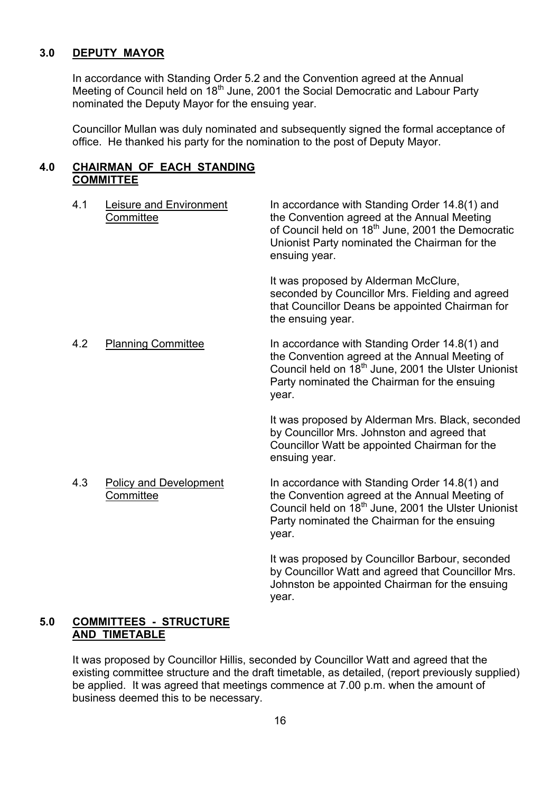#### **3.0 DEPUTY MAYOR**

In accordance with Standing Order 5.2 and the Convention agreed at the Annual Meeting of Council held on 18<sup>th</sup> June, 2001 the Social Democratic and Labour Party nominated the Deputy Mayor for the ensuing year.

Councillor Mullan was duly nominated and subsequently signed the formal acceptance of office. He thanked his party for the nomination to the post of Deputy Mayor.

#### **4.0 CHAIRMAN OF EACH STANDING COMMITTEE**

| 4.1 | <b>Leisure and Environment</b><br><b>Committee</b> | In accordance with Standing Order 14.8(1) and<br>the Convention agreed at the Annual Meeting<br>of Council held on 18 <sup>th</sup> June, 2001 the Democratic<br>Unionist Party nominated the Chairman for the<br>ensuing year. |
|-----|----------------------------------------------------|---------------------------------------------------------------------------------------------------------------------------------------------------------------------------------------------------------------------------------|
|     |                                                    | It was proposed by Alderman McClure,<br>seconded by Councillor Mrs. Fielding and agreed<br>that Councillor Deans be appointed Chairman for<br>the ensuing year.                                                                 |
| 4.2 | <b>Planning Committee</b>                          | In accordance with Standing Order 14.8(1) and<br>the Convention agreed at the Annual Meeting of<br>Council held on 18 <sup>th</sup> June, 2001 the Ulster Unionist<br>Party nominated the Chairman for the ensuing<br>year.     |
|     |                                                    | It was proposed by Alderman Mrs. Black, seconded<br>by Councillor Mrs. Johnston and agreed that<br>Councillor Watt be appointed Chairman for the<br>ensuing year.                                                               |
| 4.3 | <b>Policy and Development</b><br>Committee         | In accordance with Standing Order 14.8(1) and<br>the Convention agreed at the Annual Meeting of<br>Council held on 18 <sup>th</sup> June, 2001 the Ulster Unionist<br>Party nominated the Chairman for the ensuing<br>year.     |

It was proposed by Councillor Barbour, seconded by Councillor Watt and agreed that Councillor Mrs. Johnston be appointed Chairman for the ensuing year.

#### **5.0 COMMITTEES - STRUCTURE AND TIMETABLE**

It was proposed by Councillor Hillis, seconded by Councillor Watt and agreed that the existing committee structure and the draft timetable, as detailed, (report previously supplied) be applied. It was agreed that meetings commence at 7.00 p.m. when the amount of business deemed this to be necessary.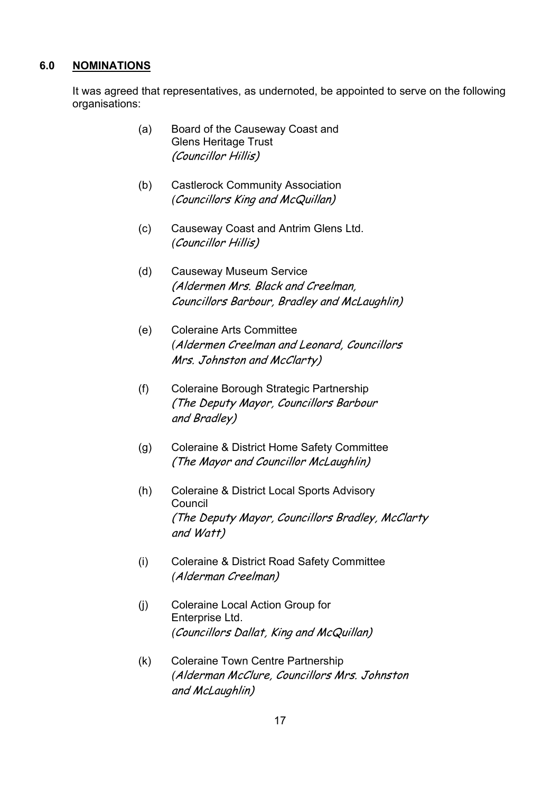#### **6.0 NOMINATIONS**

It was agreed that representatives, as undernoted, be appointed to serve on the following organisations:

- (a) Board of the Causeway Coast and Glens Heritage Trust (Councillor Hillis)
- (b) Castlerock Community Association *(*Councillors King and McQuillan)
- (c) Causeway Coast and Antrim Glens Ltd. *(*Councillor Hillis)
- (d) Causeway Museum Service (Aldermen Mrs. Black and Creelman, Councillors Barbour, Bradley and McLaughlin)
- (e) Coleraine Arts Committee *(*Aldermen Creelman and Leonard, Councillors Mrs. Johnston and McClarty)
- (f) Coleraine Borough Strategic Partnership (The Deputy Mayor, Councillors Barbour and Bradley)
- (g) Coleraine & District Home Safety Committee (The Mayor and Councillor McLaughlin)
- (h) Coleraine & District Local Sports Advisory Council (The Deputy Mayor, Councillors Bradley, McClarty and Watt)
- (i) Coleraine & District Road Safety Committee *(*Alderman Creelman)
- (j) Coleraine Local Action Group for Enterprise Ltd. *(*Councillors Dallat, King and McQuillan)
- (k) Coleraine Town Centre Partnership *(*Alderman McClure, Councillors Mrs. Johnston and McLaughlin)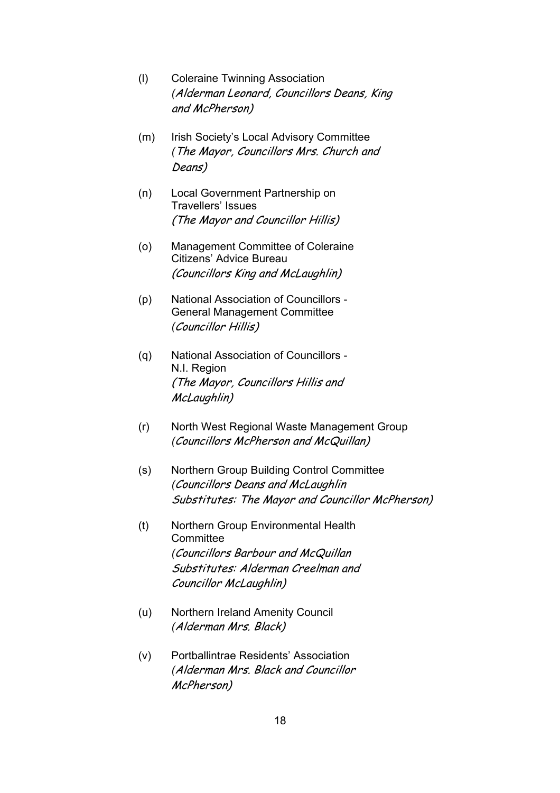- (l) Coleraine Twinning Association *(*Alderman Leonard, Councillors Deans, King and McPherson)
- (m) Irish Society's Local Advisory Committee *(*The Mayor, Councillors Mrs. Church and Deans)
- (n) Local Government Partnership on Travellers' Issues (The Mayor and Councillor Hillis)
- (o) Management Committee of Coleraine Citizens' Advice Bureau (Councillors King and McLaughlin)
- (p) National Association of Councillors General Management Committee *(*Councillor Hillis)
- (q) National Association of Councillors N.I. Region (The Mayor, Councillors Hillis and McLaughlin)
- (r) North West Regional Waste Management Group *(*Councillors McPherson and McQuillan)
- (s) Northern Group Building Control Committee *(*Councillors Deans and McLaughlin Substitutes: The Mayor and Councillor McPherson)
- (t) Northern Group Environmental Health **Committee**  *(*Councillors Barbour and McQuillan Substitutes: Alderman Creelman and Councillor McLaughlin)
- (u) Northern Ireland Amenity Council *(*Alderman Mrs. Black)
- (v) Portballintrae Residentsí Association *(*Alderman Mrs. Black and Councillor McPherson)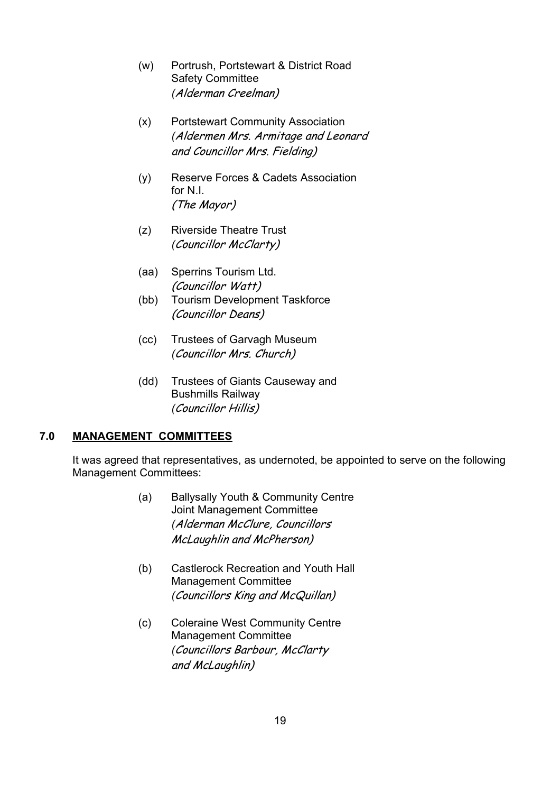- (w) Portrush, Portstewart & District Road Safety Committee *(*Alderman Creelman)
- (x) Portstewart Community Association *(*Aldermen Mrs. Armitage and Leonard and Councillor Mrs. Fielding)
- (y) Reserve Forces & Cadets Association for N.I. (The Mayor)
- (z) Riverside Theatre Trust *(*Councillor McClarty)
- (aa) Sperrins Tourism Ltd. (Councillor Watt)
- (bb) Tourism Development Taskforce (Councillor Deans)
- (cc) Trustees of Garvagh Museum *(*Councillor Mrs. Church)
- (dd) Trustees of Giants Causeway and Bushmills Railway *(*Councillor Hillis)

# **7.0 MANAGEMENT COMMITTEES**

It was agreed that representatives, as undernoted, be appointed to serve on the following Management Committees:

- (a) Ballysally Youth & Community Centre Joint Management Committee *(*Alderman McClure, Councillors McLaughlin and McPherson)
- (b) Castlerock Recreation and Youth Hall Management Committee *(*Councillors King and McQuillan)
- (c) Coleraine West Community Centre Management Committee *(*Councillors Barbour, McClarty and McLaughlin)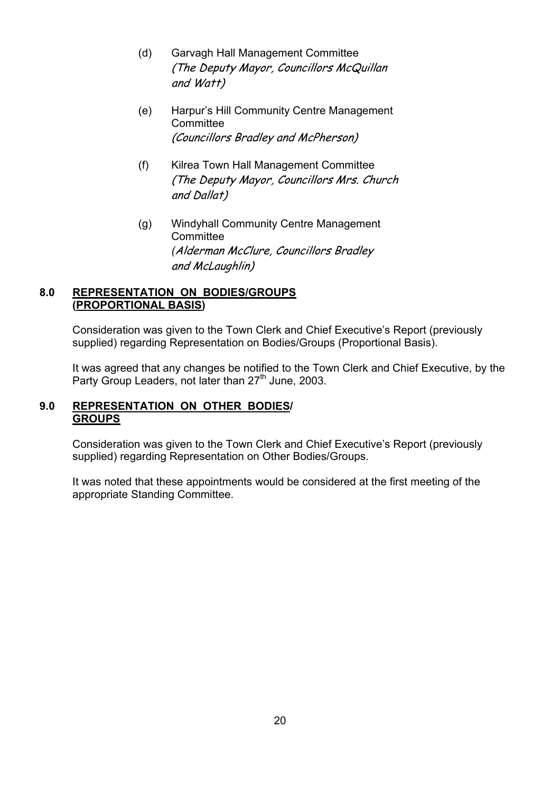- (d) Garvagh Hall Management Committee (The Deputy Mayor, Councillors McQuillan and Watt)
- (e) Harpurís Hill Community Centre Management **Committee** (Councillors Bradley and McPherson)
- (f) Kilrea Town Hall Management Committee (The Deputy Mayor, Councillors Mrs. Church and Dallat)
- (g) Windyhall Community Centre Management **Committee**  *(*Alderman McClure, Councillors Bradley and McLaughlin)

# **8.0 REPRESENTATION ON BODIES/GROUPS (PROPORTIONAL BASIS)**

Consideration was given to the Town Clerk and Chief Executive's Report (previously supplied) regarding Representation on Bodies/Groups (Proportional Basis).

It was agreed that any changes be notified to the Town Clerk and Chief Executive, by the Party Group Leaders, not later than 27<sup>th</sup> June, 2003.

## **9.0 REPRESENTATION ON OTHER BODIES/ GROUPS**

Consideration was given to the Town Clerk and Chief Executive's Report (previously supplied) regarding Representation on Other Bodies/Groups.

It was noted that these appointments would be considered at the first meeting of the appropriate Standing Committee.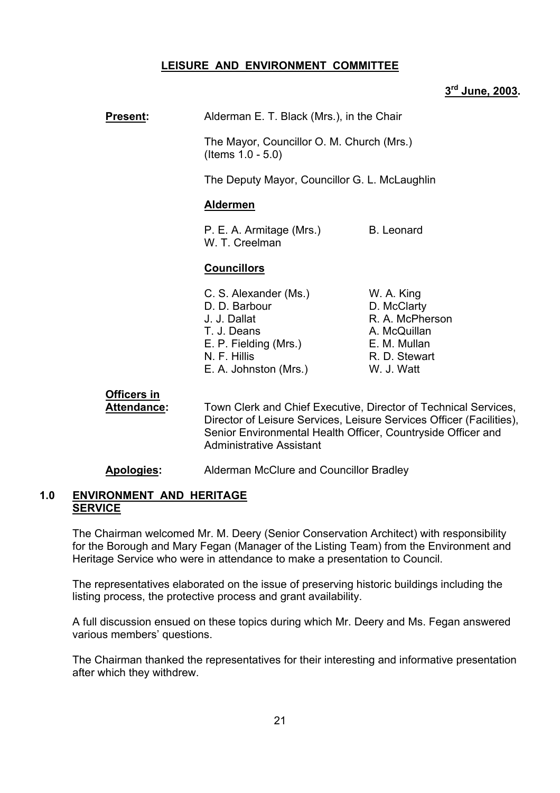#### **LEISURE AND ENVIRONMENT COMMITTEE**

# **3rd June, 2003.**

# **Present:** Alderman E. T. Black (Mrs.), in the Chair

 The Mayor, Councillor O. M. Church (Mrs.) (Items 1.0 - 5.0)

The Deputy Mayor, Councillor G. L. McLaughlin

#### **Aldermen**

P. E. A. Armitage (Mrs.) B. Leonard W. T. Creelman

#### **Councillors**

- C. S. Alexander (Ms.) W. A. King D. D. Barbour D. McClarty J. J. Dallat R. A. McPherson T. J. Deans A. McQuillan E. P. Fielding (Mrs.) E. M. Mullan N. F. Hillis R. D. Stewart E. A. Johnston (Mrs.) W. J. Watt
- 

# **Officers in**

 **Attendance:** Town Clerk and Chief Executive, Director of Technical Services, Director of Leisure Services, Leisure Services Officer (Facilities), Senior Environmental Health Officer, Countryside Officer and Administrative Assistant

**Apologies:** Alderman McClure and Councillor Bradley

#### **1.0 ENVIRONMENT AND HERITAGE SERVICE**

The Chairman welcomed Mr. M. Deery (Senior Conservation Architect) with responsibility for the Borough and Mary Fegan (Manager of the Listing Team) from the Environment and Heritage Service who were in attendance to make a presentation to Council.

The representatives elaborated on the issue of preserving historic buildings including the listing process, the protective process and grant availability.

A full discussion ensued on these topics during which Mr. Deery and Ms. Fegan answered various members' questions.

The Chairman thanked the representatives for their interesting and informative presentation after which they withdrew.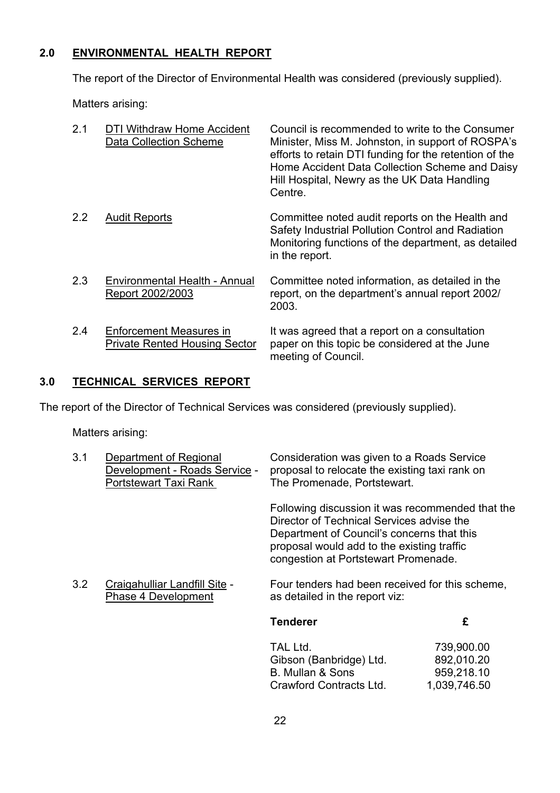# **2.0 ENVIRONMENTAL HEALTH REPORT**

The report of the Director of Environmental Health was considered (previously supplied).

Matters arising:

| 2.1 | DTI Withdraw Home Accident<br><b>Data Collection Scheme</b>            | Council is recommended to write to the Consumer<br>Minister, Miss M. Johnston, in support of ROSPA's<br>efforts to retain DTI funding for the retention of the<br>Home Accident Data Collection Scheme and Daisy<br>Hill Hospital, Newry as the UK Data Handling<br>Centre. |
|-----|------------------------------------------------------------------------|-----------------------------------------------------------------------------------------------------------------------------------------------------------------------------------------------------------------------------------------------------------------------------|
| 2.2 | <b>Audit Reports</b>                                                   | Committee noted audit reports on the Health and<br>Safety Industrial Pollution Control and Radiation<br>Monitoring functions of the department, as detailed<br>in the report.                                                                                               |
| 2.3 | Environmental Health - Annual<br>Report 2002/2003                      | Committee noted information, as detailed in the<br>report, on the department's annual report 2002/<br>2003.                                                                                                                                                                 |
| 2.4 | <b>Enforcement Measures in</b><br><b>Private Rented Housing Sector</b> | It was agreed that a report on a consultation<br>paper on this topic be considered at the June<br>meeting of Council.                                                                                                                                                       |

# **3.0 TECHNICAL SERVICES REPORT**

The report of the Director of Technical Services was considered (previously supplied).

Matters arising:

| 3.1 | Department of Regional<br>Development - Roads Service -<br>Portstewart Taxi Rank | Consideration was given to a Roads Service<br>proposal to relocate the existing taxi rank on<br>The Promenade, Portstewart.                                                                                                       |                          |
|-----|----------------------------------------------------------------------------------|-----------------------------------------------------------------------------------------------------------------------------------------------------------------------------------------------------------------------------------|--------------------------|
|     |                                                                                  | Following discussion it was recommended that the<br>Director of Technical Services advise the<br>Department of Council's concerns that this<br>proposal would add to the existing traffic<br>congestion at Portstewart Promenade. |                          |
| 3.2 | Craigahulliar Landfill Site -<br>Phase 4 Development                             | Four tenders had been received for this scheme,<br>as detailed in the report viz:                                                                                                                                                 |                          |
|     |                                                                                  | <b>Tenderer</b>                                                                                                                                                                                                                   | £                        |
|     |                                                                                  | TAL Ltd.<br>Gibson (Banbridge) Ltd.                                                                                                                                                                                               | 739,900.00<br>892,010.20 |
|     |                                                                                  | B. Mullan & Sons                                                                                                                                                                                                                  | 959,218.10               |

Crawford Contracts Ltd. 1,039,746.50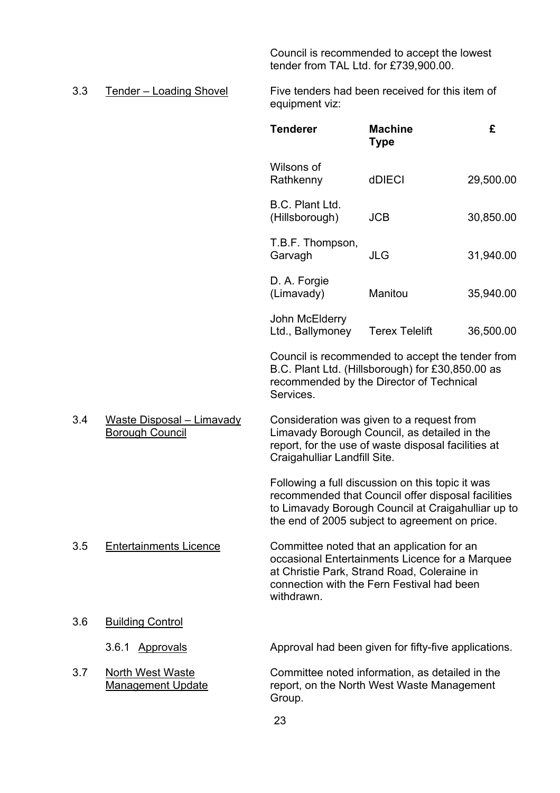Council is recommended to accept the lowest tender from TAL Ltd. for £739,900.00.

3.3 Tender – Loading Shovel Five tenders had been received for this item of equipment viz:

|     |                                                            | <b>Tenderer</b>                    | <b>Machine</b><br><b>Type</b>                                                                                                                                                                                  | £         |
|-----|------------------------------------------------------------|------------------------------------|----------------------------------------------------------------------------------------------------------------------------------------------------------------------------------------------------------------|-----------|
|     |                                                            | Wilsons of<br>Rathkenny            | dDIECI                                                                                                                                                                                                         | 29,500.00 |
|     |                                                            | B.C. Plant Ltd.<br>(Hillsborough)  | <b>JCB</b>                                                                                                                                                                                                     | 30,850.00 |
|     |                                                            | T.B.F. Thompson,<br>Garvagh        | <b>JLG</b>                                                                                                                                                                                                     | 31,940.00 |
|     |                                                            | D. A. Forgie<br>(Limavady)         | Manitou                                                                                                                                                                                                        | 35,940.00 |
|     |                                                            | John McElderry<br>Ltd., Ballymoney | <b>Terex Telelift</b>                                                                                                                                                                                          | 36,500.00 |
|     |                                                            | Services.                          | Council is recommended to accept the tender from<br>B.C. Plant Ltd. (Hillsborough) for £30,850.00 as<br>recommended by the Director of Technical                                                               |           |
| 3.4 | <b>Waste Disposal - Limavady</b><br><b>Borough Council</b> | Craigahulliar Landfill Site.       | Consideration was given to a request from<br>Limavady Borough Council, as detailed in the<br>report, for the use of waste disposal facilities at                                                               |           |
|     |                                                            |                                    | Following a full discussion on this topic it was<br>recommended that Council offer disposal facilities<br>to Limavady Borough Council at Craigahulliar up to<br>the end of 2005 subject to agreement on price. |           |
| 3.5 | <b>Entertainments Licence</b>                              | withdrawn.                         | Committee noted that an application for an<br>occasional Entertainments Licence for a Marquee<br>at Christie Park, Strand Road, Coleraine in<br>connection with the Fern Festival had been                     |           |
| 3.6 | <b>Building Control</b>                                    |                                    |                                                                                                                                                                                                                |           |
|     | 3.6.1<br><b>Approvals</b>                                  |                                    | Approval had been given for fifty-five applications.                                                                                                                                                           |           |
| 3.7 | North West Waste<br><b>Management Update</b>               | Group.                             | Committee noted information, as detailed in the<br>report, on the North West Waste Management                                                                                                                  |           |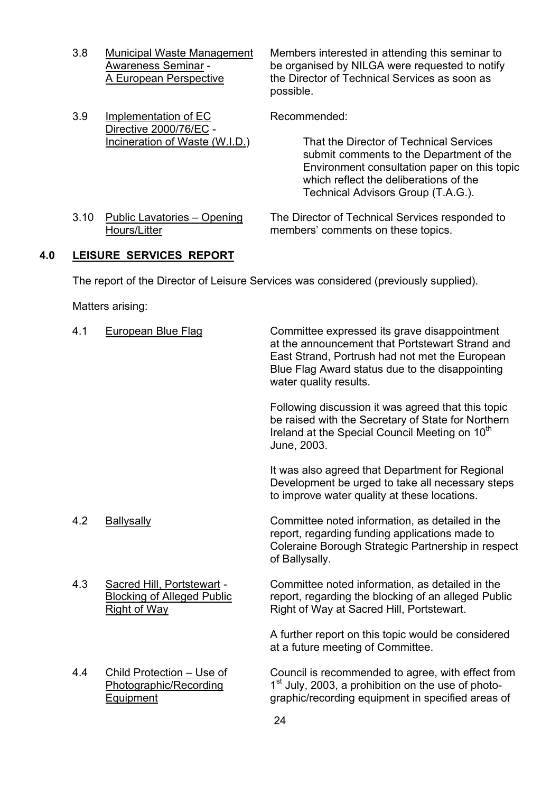3.8 Municipal Waste Management Members interested in attending this seminar to Awareness Seminar - be organised by NILGA were requested to notify A European Perspective the Director of Technical Services as soon as possible.

3.9 Implementation of EC Recommended: Directive 2000/76/EC -<br>Incineration of Waste (W.I.D.) That the Director of Technical Services submit comments to the Department of the Environment consultation paper on this topic which reflect the deliberations of the Technical Advisors Group (T.A.G.). 3.10 Public Lavatories – Opening The Director of Technical Services responded to Hours/Litter members' comments on these topics.

#### **4.0 LEISURE SERVICES REPORT**

The report of the Director of Leisure Services was considered (previously supplied).

Matters arising:

| 4.1 | <b>European Blue Flag</b>                                                              | Committee expressed its grave disappointment<br>at the announcement that Portstewart Strand and<br>East Strand, Portrush had not met the European<br>Blue Flag Award status due to the disappointing<br>water quality results. |
|-----|----------------------------------------------------------------------------------------|--------------------------------------------------------------------------------------------------------------------------------------------------------------------------------------------------------------------------------|
|     |                                                                                        | Following discussion it was agreed that this topic<br>be raised with the Secretary of State for Northern<br>Ireland at the Special Council Meeting on 10 <sup>th</sup><br>June, 2003.                                          |
|     |                                                                                        | It was also agreed that Department for Regional<br>Development be urged to take all necessary steps<br>to improve water quality at these locations.                                                                            |
| 4.2 | <b>Ballysally</b>                                                                      | Committee noted information, as detailed in the<br>report, regarding funding applications made to<br>Coleraine Borough Strategic Partnership in respect<br>of Ballysally.                                                      |
| 4.3 | Sacred Hill, Portstewart -<br><b>Blocking of Alleged Public</b><br><b>Right of Way</b> | Committee noted information, as detailed in the<br>report, regarding the blocking of an alleged Public<br>Right of Way at Sacred Hill, Portstewart.                                                                            |
|     |                                                                                        | A further report on this topic would be considered<br>at a future meeting of Committee.                                                                                                                                        |
| 4.4 | Child Protection - Use of<br>Photographic/Recording<br>Equipment                       | Council is recommended to agree, with effect from<br>1 <sup>st</sup> July, 2003, a prohibition on the use of photo-<br>graphic/recording equipment in specified areas of                                                       |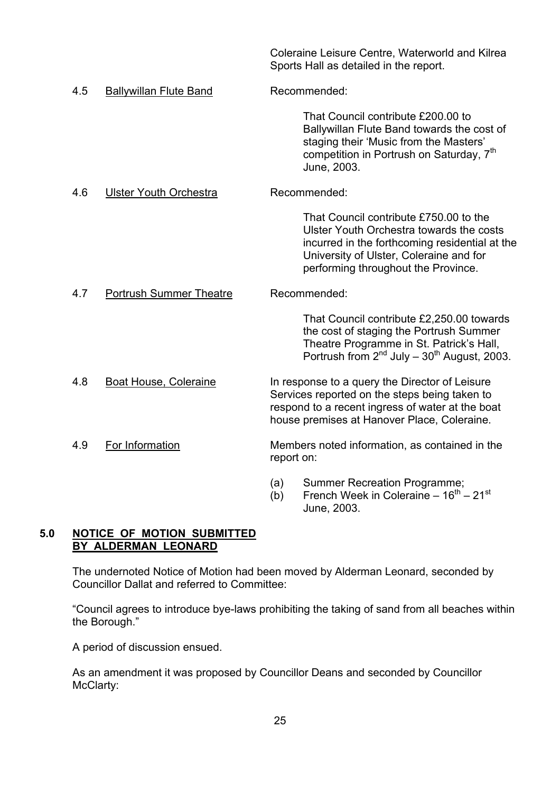|     |                                |            | Coleraine Leisure Centre, Waterworld and Kilrea<br>Sports Hall as detailed in the report.                                                                                                                              |
|-----|--------------------------------|------------|------------------------------------------------------------------------------------------------------------------------------------------------------------------------------------------------------------------------|
| 4.5 | <b>Ballywillan Flute Band</b>  |            | Recommended:                                                                                                                                                                                                           |
|     |                                |            | That Council contribute £200.00 to<br>Ballywillan Flute Band towards the cost of<br>staging their 'Music from the Masters'<br>competition in Portrush on Saturday, 7 <sup>th</sup><br>June, 2003.                      |
| 4.6 | <b>Ulster Youth Orchestra</b>  |            | Recommended:                                                                                                                                                                                                           |
|     |                                |            | That Council contribute £750.00 to the<br>Ulster Youth Orchestra towards the costs<br>incurred in the forthcoming residential at the<br>University of Ulster, Coleraine and for<br>performing throughout the Province. |
| 4.7 | <b>Portrush Summer Theatre</b> |            | Recommended:                                                                                                                                                                                                           |
|     |                                |            | That Council contribute £2,250.00 towards<br>the cost of staging the Portrush Summer<br>Theatre Programme in St. Patrick's Hall,<br>Portrush from $2^{nd}$ July – $30^{th}$ August, 2003.                              |
| 4.8 | Boat House, Coleraine          |            | In response to a query the Director of Leisure<br>Services reported on the steps being taken to<br>respond to a recent ingress of water at the boat<br>house premises at Hanover Place, Coleraine.                     |
| 4.9 | For Information                | report on: | Members noted information, as contained in the                                                                                                                                                                         |
|     |                                | (a)<br>(b) | <b>Summer Recreation Programme;</b><br>French Week in Coleraine $-16^{th} - 21^{st}$                                                                                                                                   |

# **5.0 NOTICE OF MOTION SUBMITTED BY ALDERMAN LEONARD**

The undernoted Notice of Motion had been moved by Alderman Leonard, seconded by Councillor Dallat and referred to Committee:

ìCouncil agrees to introduce bye-laws prohibiting the taking of sand from all beaches within the Borough."

June, 2003.

A period of discussion ensued.

As an amendment it was proposed by Councillor Deans and seconded by Councillor McClarty: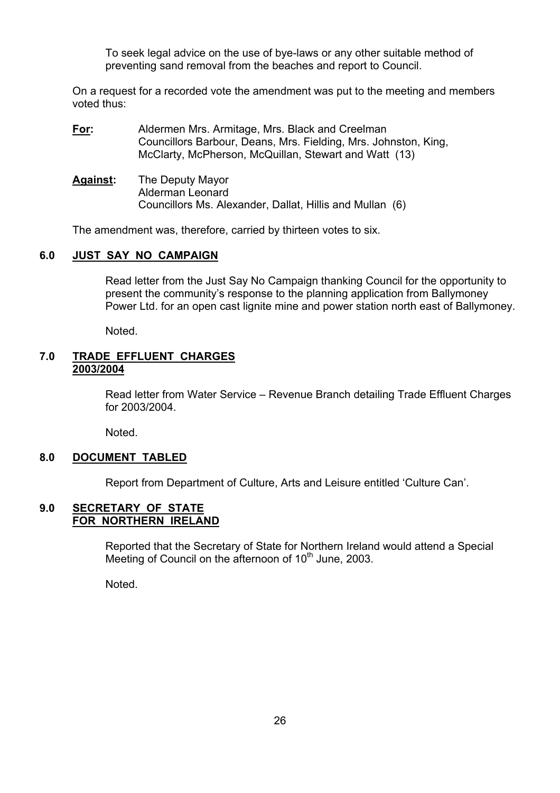To seek legal advice on the use of bye-laws or any other suitable method of preventing sand removal from the beaches and report to Council.

On a request for a recorded vote the amendment was put to the meeting and members voted thus:

- **For:** Aldermen Mrs. Armitage, Mrs. Black and Creelman Councillors Barbour, Deans, Mrs. Fielding, Mrs. Johnston, King, McClarty, McPherson, McQuillan, Stewart and Watt (13)
- **Against:** The Deputy Mayor Alderman Leonard Councillors Ms. Alexander, Dallat, Hillis and Mullan (6)

The amendment was, therefore, carried by thirteen votes to six.

#### **6.0 JUST SAY NO CAMPAIGN**

 Read letter from the Just Say No Campaign thanking Council for the opportunity to present the communityís response to the planning application from Ballymoney Power Ltd. for an open cast lignite mine and power station north east of Ballymoney.

Noted.

#### **7.0 TRADE EFFLUENT CHARGES 2003/2004**

Read letter from Water Service – Revenue Branch detailing Trade Effluent Charges for 2003/2004.

Noted.

#### **8.0 DOCUMENT TABLED**

Report from Department of Culture, Arts and Leisure entitled 'Culture Can'.

#### **9.0 SECRETARY OF STATE FOR NORTHERN IRELAND**

 Reported that the Secretary of State for Northern Ireland would attend a Special Meeting of Council on the afternoon of  $10<sup>th</sup>$  June, 2003.

Noted.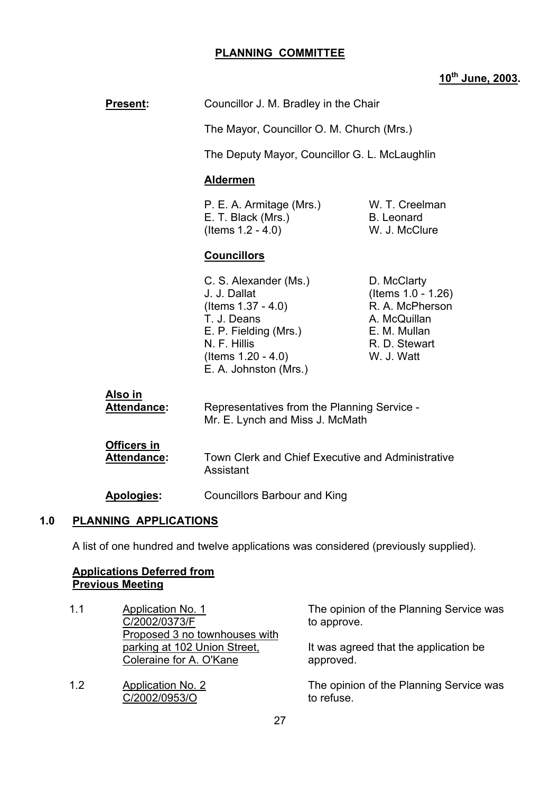# **PLANNING COMMITTEE**

# **10th June, 2003.**

| Councillor J. M. Bradley in the Chair                                                                                                                                 |                                                                                                                                                 |
|-----------------------------------------------------------------------------------------------------------------------------------------------------------------------|-------------------------------------------------------------------------------------------------------------------------------------------------|
|                                                                                                                                                                       |                                                                                                                                                 |
|                                                                                                                                                                       |                                                                                                                                                 |
| <b>Aldermen</b>                                                                                                                                                       |                                                                                                                                                 |
| P. E. A. Armitage (Mrs.)<br>E. T. Black (Mrs.)<br>(Items $1.2 - 4.0$ )                                                                                                | W. T. Creelman<br><b>B.</b> Leonard<br>W. J. McClure                                                                                            |
| <b>Councillors</b>                                                                                                                                                    |                                                                                                                                                 |
| C. S. Alexander (Ms.)<br>J. J. Dallat<br>(Items 1.37 - 4.0)<br>T. J. Deans<br>E. P. Fielding (Mrs.)<br>N. F. Hillis<br>(Items $1.20 - 4.0$ )<br>E. A. Johnston (Mrs.) | D. McClarty<br>(Items 1.0 - 1.26)<br>R. A. McPherson<br>A. McQuillan<br>E. M. Mullan<br>R. D. Stewart<br>W. J. Watt                             |
| Representatives from the Planning Service -<br>Mr. E. Lynch and Miss J. McMath                                                                                        |                                                                                                                                                 |
| Assistant                                                                                                                                                             |                                                                                                                                                 |
| <b>Councillors Barbour and King</b>                                                                                                                                   |                                                                                                                                                 |
| PLANNING APPLICATIONS                                                                                                                                                 |                                                                                                                                                 |
|                                                                                                                                                                       | The Mayor, Councillor O. M. Church (Mrs.)<br>The Deputy Mayor, Councillor G. L. McLaughlin<br>Town Clerk and Chief Executive and Administrative |

A list of one hundred and twelve applications was considered (previously supplied).

# **Applications Deferred from Previous Meeting**

| 1.1 | Application No. 1<br>C/2002/0373/F<br>Proposed 3 no townhouses with | The opinion of the Planning Service was<br>to approve. |
|-----|---------------------------------------------------------------------|--------------------------------------------------------|
|     | parking at 102 Union Street,<br>Coleraine for A. O'Kane             | It was agreed that the application be<br>approved.     |
| 1.2 | <b>Application No. 2</b><br>C/2002/0953/O                           | The opinion of the Planning Service was<br>to refuse.  |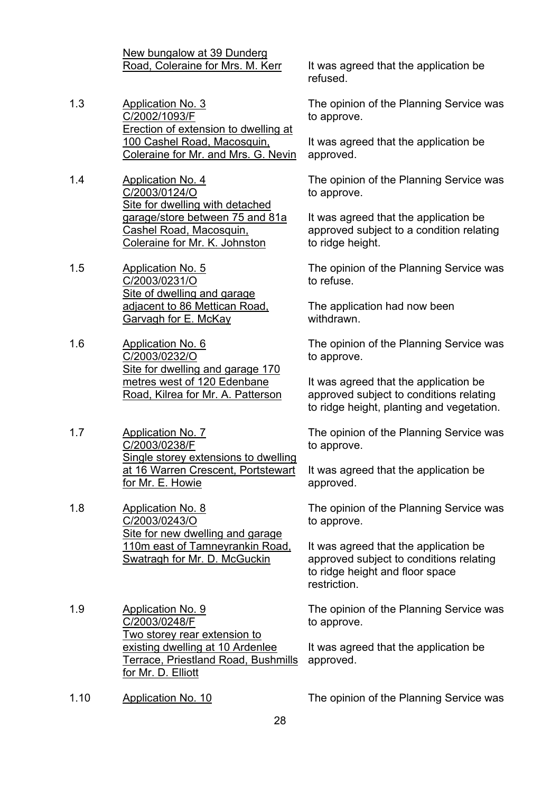New bungalow at 39 Dunderg

- 1.3 Application No. 3 C/2002/1093/F Erection of extension to dwelling at 100 Cashel Road, Macosquin, Coleraine for Mr. and Mrs. G. Nevin
- 1.4 Application No. 4 C/2003/0124/O Site for dwelling with detached garage/store between 75 and 81a Cashel Road, Macosquin, Coleraine for Mr. K. Johnston
- 1.5 Application No. 5 C/2003/0231/O Site of dwelling and garage adjacent to 86 Mettican Road, Garvagh for E. McKay
- 1.6 Application No. 6 C/2003/0232/O Site for dwelling and garage 170 metres west of 120 Edenbane Road, Kilrea for Mr. A. Patterson
- 1.7 Application No. 7 C/2003/0238/F Single storey extensions to dwelling at 16 Warren Crescent, Portstewart for Mr. E. Howie
- 1.8 Application No. 8 C/2003/0243/O Site for new dwelling and garage 110m east of Tamneyrankin Road, Swatragh for Mr. D. McGuckin
- 1.9 Application No. 9 C/2003/0248/F Two storey rear extension to existing dwelling at 10 Ardenlee Terrace, Priestland Road, Bushmills for Mr. D. Elliott
- 

Road, Coleraine for Mrs. M. Kerr It was agreed that the application be refused.

> The opinion of the Planning Service was to approve.

It was agreed that the application be approved.

The opinion of the Planning Service was to approve.

It was agreed that the application be approved subject to a condition relating to ridge height.

The opinion of the Planning Service was to refuse.

The application had now been withdrawn.

The opinion of the Planning Service was to approve.

It was agreed that the application be approved subject to conditions relating to ridge height, planting and vegetation.

The opinion of the Planning Service was to approve.

It was agreed that the application be approved.

The opinion of the Planning Service was to approve.

It was agreed that the application be approved subject to conditions relating to ridge height and floor space restriction.

The opinion of the Planning Service was to approve.

It was agreed that the application be approved.

1.10 Application No. 10 The opinion of the Planning Service was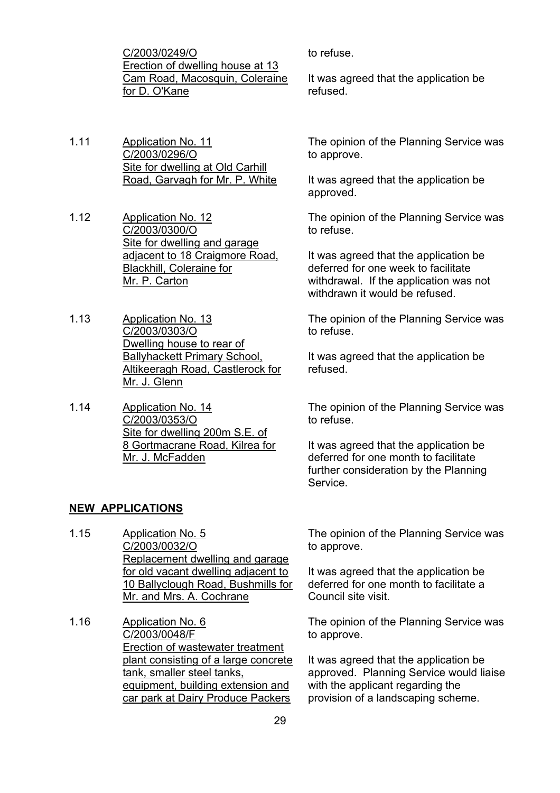C/2003/0249/O Erection of dwelling house at 13 Cam Road, Macosquin, Coleraine for D. O'Kane

- 1.11 Application No. 11 C/2003/0296/O Site for dwelling at Old Carhill Road, Garvagh for Mr. P. White
- 1.12 Application No. 12 C/2003/0300/O Site for dwelling and garage adjacent to 18 Craigmore Road, Blackhill, Coleraine for Mr. P. Carton
- 1.13 Application No. 13 C/2003/0303/O Dwelling house to rear of Ballyhackett Primary School, Altikeeragh Road, Castlerock for Mr. J. Glenn
- 1.14 Application No. 14 C/2003/0353/O Site for dwelling 200m S.E. of 8 Gortmacrane Road, Kilrea for Mr. J. McFadden

#### **NEW APPLICATIONS**

- 1.15 Application No. 5 C/2003/0032/O Replacement dwelling and garage for old vacant dwelling adjacent to 10 Ballyclough Road, Bushmills for Mr. and Mrs. A. Cochrane
- 1.16 Application No. 6 C/2003/0048/F Erection of wastewater treatment plant consisting of a large concrete tank, smaller steel tanks, equipment, building extension and car park at Dairy Produce Packers

to refuse.

It was agreed that the application be refused.

The opinion of the Planning Service was to approve.

It was agreed that the application be approved.

The opinion of the Planning Service was to refuse.

It was agreed that the application be deferred for one week to facilitate withdrawal. If the application was not withdrawn it would be refused.

The opinion of the Planning Service was to refuse.

It was agreed that the application be refused.

The opinion of the Planning Service was to refuse.

It was agreed that the application be deferred for one month to facilitate further consideration by the Planning Service.

The opinion of the Planning Service was to approve.

It was agreed that the application be deferred for one month to facilitate a Council site visit.

The opinion of the Planning Service was to approve.

It was agreed that the application be approved. Planning Service would liaise with the applicant regarding the provision of a landscaping scheme.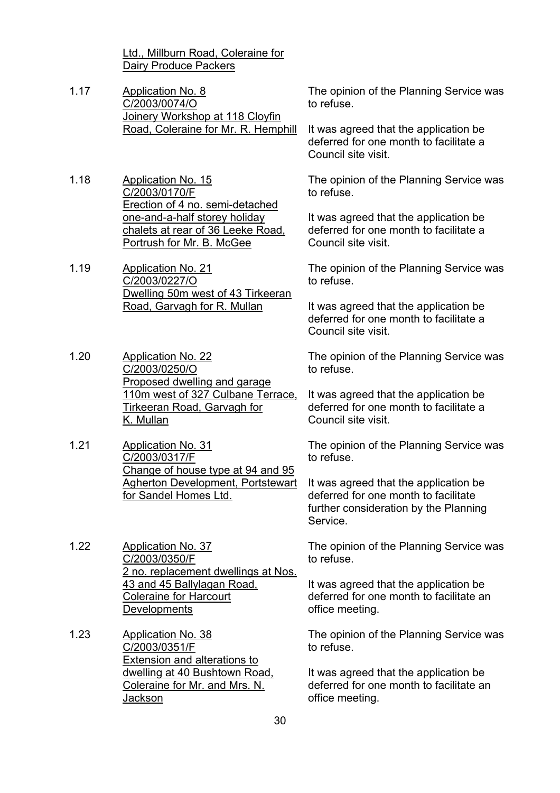Ltd., Millburn Road, Coleraine for Dairy Produce Packers

- 1.17 Application No. 8 C/2003/0074/O Joinery Workshop at 118 Cloyfin Road, Coleraine for Mr. R. Hemphill
- 1.18 Application No. 15 C/2003/0170/F Erection of 4 no. semi-detached one-and-a-half storey holiday chalets at rear of 36 Leeke Road, Portrush for Mr. B. McGee

1.19 Application No. 21 C/2003/0227/O Dwelling 50m west of 43 Tirkeeran Road, Garvagh for R. Mullan

- 1.20 Application No. 22 C/2003/0250/O Proposed dwelling and garage 110m west of 327 Culbane Terrace, Tirkeeran Road, Garvagh for K. Mullan
- 1.21 Application No. 31 C/2003/0317/F Change of house type at 94 and 95 Agherton Development, Portstewart for Sandel Homes Ltd.
- 1.22 Application No. 37 C/2003/0350/F 2 no. replacement dwellings at Nos. 43 and 45 Ballylagan Road, Coleraine for Harcourt **Developments**
- 1.23 Application No. 38 C/2003/0351/F Extension and alterations to dwelling at 40 Bushtown Road, Coleraine for Mr. and Mrs. N. Jackson

The opinion of the Planning Service was to refuse.

It was agreed that the application be deferred for one month to facilitate a Council site visit.

The opinion of the Planning Service was to refuse.

It was agreed that the application be deferred for one month to facilitate a Council site visit.

The opinion of the Planning Service was to refuse.

It was agreed that the application be deferred for one month to facilitate a Council site visit.

The opinion of the Planning Service was to refuse.

It was agreed that the application be deferred for one month to facilitate a Council site visit.

The opinion of the Planning Service was to refuse.

It was agreed that the application be deferred for one month to facilitate further consideration by the Planning Service.

The opinion of the Planning Service was to refuse.

It was agreed that the application be deferred for one month to facilitate an office meeting.

The opinion of the Planning Service was to refuse.

It was agreed that the application be deferred for one month to facilitate an office meeting.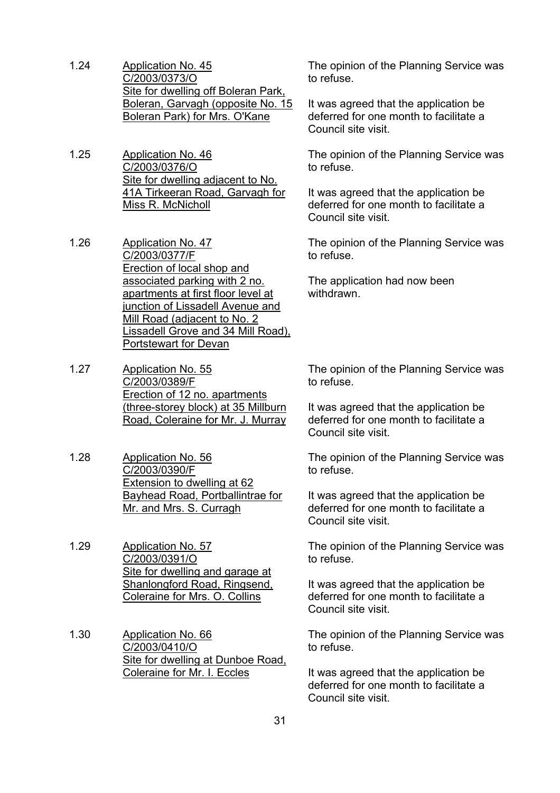- 1.24 Application No. 45 C/2003/0373/O Site for dwelling off Boleran Park, Boleran, Garvagh (opposite No. 15 Boleran Park) for Mrs. O'Kane
- 1.25 Application No. 46 C/2003/0376/O Site for dwelling adjacent to No. 41A Tirkeeran Road, Garvagh for Miss R. McNicholl
- 1.26 Application No. 47 C/2003/0377/F Erection of local shop and associated parking with 2 no. apartments at first floor level at junction of Lissadell Avenue and Mill Road (adjacent to No. 2 Lissadell Grove and 34 Mill Road), Portstewart for Devan
- 1.27 Application No. 55 C/2003/0389/F Erection of 12 no. apartments (three-storey block) at 35 Millburn Road, Coleraine for Mr. J. Murray
- 1.28 Application No. 56 C/2003/0390/F Extension to dwelling at 62 Bayhead Road, Portballintrae for Mr. and Mrs. S. Curragh
- 1.29 Application No. 57 C/2003/0391/O Site for dwelling and garage at Shanlongford Road, Ringsend, Coleraine for Mrs. O. Collins
- 1.30 Application No. 66 C/2003/0410/O Site for dwelling at Dunboe Road, Coleraine for Mr. I. Eccles

The opinion of the Planning Service was to refuse.

It was agreed that the application be deferred for one month to facilitate a Council site visit.

The opinion of the Planning Service was to refuse.

It was agreed that the application be deferred for one month to facilitate a Council site visit.

The opinion of the Planning Service was to refuse.

The application had now been withdrawn.

The opinion of the Planning Service was to refuse.

It was agreed that the application be deferred for one month to facilitate a Council site visit.

The opinion of the Planning Service was to refuse.

It was agreed that the application be deferred for one month to facilitate a Council site visit.

The opinion of the Planning Service was to refuse.

It was agreed that the application be deferred for one month to facilitate a Council site visit.

The opinion of the Planning Service was to refuse.

It was agreed that the application be deferred for one month to facilitate a Council site visit.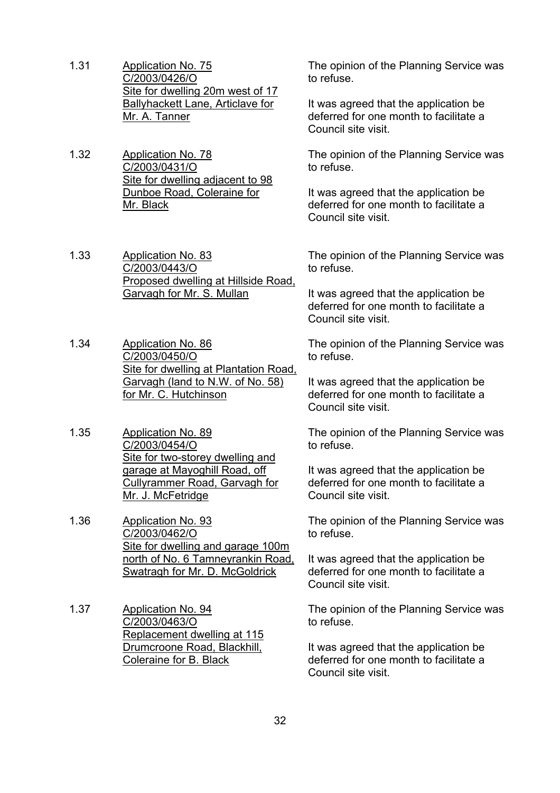- 1.31 Application No. 75 C/2003/0426/O Site for dwelling 20m west of 17 Ballyhackett Lane, Articlave for Mr. A. Tanner
- 1.32 Application No. 78 C/2003/0431/O Site for dwelling adjacent to 98 Dunboe Road, Coleraine for Mr. Black
- 1.33 Application No. 83 C/2003/0443/O Proposed dwelling at Hillside Road, Garvagh for Mr. S. Mullan
- 1.34 Application No. 86 C/2003/0450/O Site for dwelling at Plantation Road, Garvagh (land to N.W. of No. 58) for Mr. C. Hutchinson
- 1.35 Application No. 89 C/2003/0454/O Site for two-storey dwelling and garage at Mayoghill Road, off Cullyrammer Road, Garvagh for Mr. J. McFetridge
- 1.36 Application No. 93 C/2003/0462/O Site for dwelling and garage 100m north of No. 6 Tamneyrankin Road, Swatragh for Mr. D. McGoldrick
- 1.37 Application No. 94 C/2003/0463/O Replacement dwelling at 115 Drumcroone Road, Blackhill, Coleraine for B. Black

The opinion of the Planning Service was to refuse.

It was agreed that the application be deferred for one month to facilitate a Council site visit.

The opinion of the Planning Service was to refuse.

It was agreed that the application be deferred for one month to facilitate a Council site visit.

The opinion of the Planning Service was to refuse.

It was agreed that the application be deferred for one month to facilitate a Council site visit.

The opinion of the Planning Service was to refuse.

It was agreed that the application be deferred for one month to facilitate a Council site visit.

The opinion of the Planning Service was to refuse.

It was agreed that the application be deferred for one month to facilitate a Council site visit.

The opinion of the Planning Service was to refuse.

It was agreed that the application be deferred for one month to facilitate a Council site visit.

The opinion of the Planning Service was to refuse.

It was agreed that the application be deferred for one month to facilitate a Council site visit.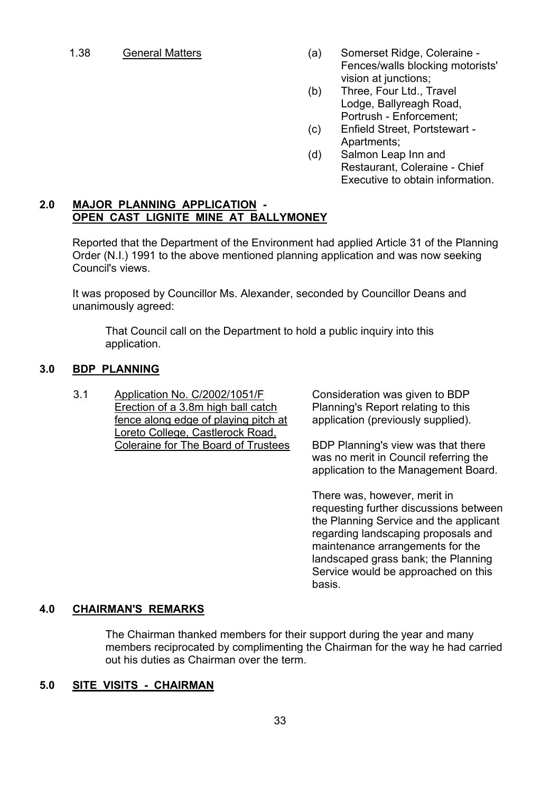- 1.38 General Matters (a) Somerset Ridge, Coleraine Fences/walls blocking motorists' vision at junctions:
	- (b) Three, Four Ltd., Travel Lodge, Ballyreagh Road, Portrush - Enforcement;
	- (c) Enfield Street, Portstewart Apartments;
	- (d) Salmon Leap Inn and Restaurant, Coleraine - Chief Executive to obtain information.

#### **2.0 MAJOR PLANNING APPLICATION - OPEN CAST LIGNITE MINE AT BALLYMONEY**

 Reported that the Department of the Environment had applied Article 31 of the Planning Order (N.I.) 1991 to the above mentioned planning application and was now seeking Council's views.

 It was proposed by Councillor Ms. Alexander, seconded by Councillor Deans and unanimously agreed:

 That Council call on the Department to hold a public inquiry into this application.

#### **3.0 BDP PLANNING**

3.1 Application No. C/2002/1051/F Erection of a 3.8m high ball catch fence along edge of playing pitch at Loreto College, Castlerock Road, Coleraine for The Board of Trustees Consideration was given to BDP Planning's Report relating to this application (previously supplied).

BDP Planning's view was that there was no merit in Council referring the application to the Management Board.

There was, however, merit in requesting further discussions between the Planning Service and the applicant regarding landscaping proposals and maintenance arrangements for the landscaped grass bank; the Planning Service would be approached on this basis.

#### **4.0 CHAIRMAN'S REMARKS**

 The Chairman thanked members for their support during the year and many members reciprocated by complimenting the Chairman for the way he had carried out his duties as Chairman over the term.

#### **5.0 SITE VISITS - CHAIRMAN**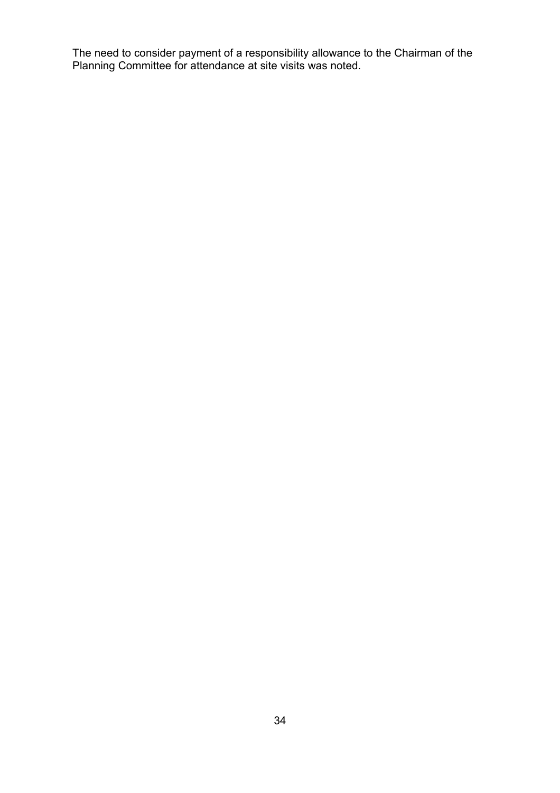The need to consider payment of a responsibility allowance to the Chairman of the Planning Committee for attendance at site visits was noted.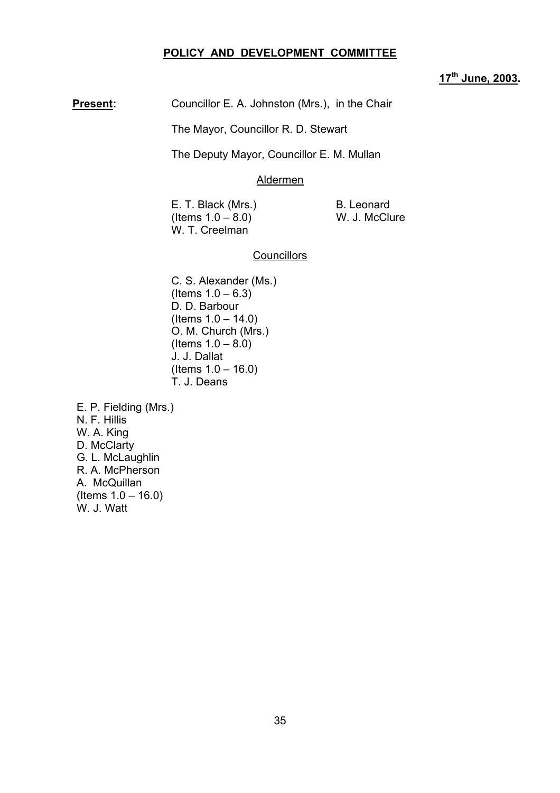#### **POLICY AND DEVELOPMENT COMMITTEE**

#### **17th June, 2003.**

**Present:** Councillor E. A. Johnston (Mrs.), in the Chair

The Mayor, Councillor R. D. Stewart

The Deputy Mayor, Councillor E. M. Mullan

#### Aldermen

E. T. Black (Mrs.) B. Leonard  $($  Items  $1.0 - 8.0$  W. J. McClure W. T. Creelman

#### **Councillors**

C. S. Alexander (Ms.)  $($  Items  $1.0 - 6.3)$ D. D. Barbour  $($  ltems  $1.0 - 14.0)$ O. M. Church (Mrs.)  $($  Items  $1.0 - 8.0)$ J. J. Dallat  $($  Items  $1.0 - 16.0)$ T. J. Deans

 E. P. Fielding (Mrs.) N. F. Hillis W. A. King D. McClarty G. L. McLaughlin R. A. McPherson A. McQuillan  $($  ltems  $1.0 - 16.0)$ W. J. Watt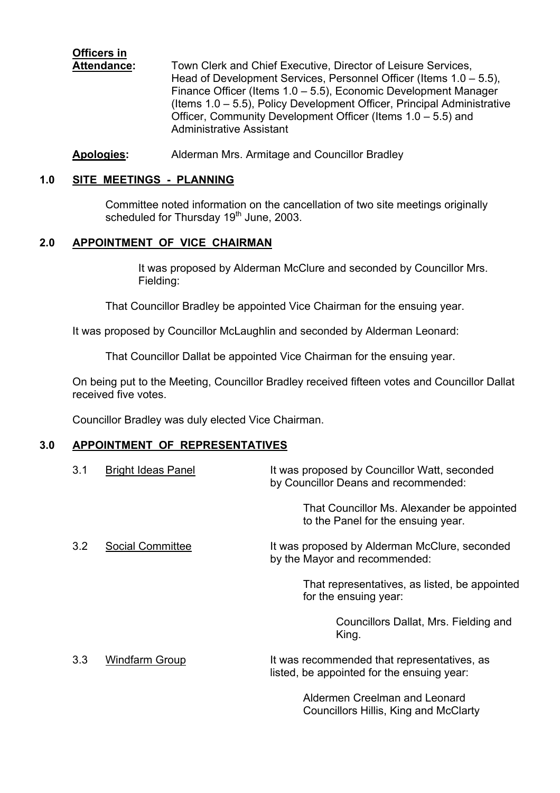# **Officers in**

 **Attendance:** Town Clerk and Chief Executive, Director of Leisure Services, Head of Development Services, Personnel Officer (Items  $1.0 - 5.5$ ), Finance Officer (Items  $1.0 - 5.5$ ), Economic Development Manager (Items  $1.0 - 5.5$ ), Policy Development Officer, Principal Administrative Officer, Community Development Officer (Items  $1.0 - 5.5$ ) and Administrative Assistant

**Apologies:** Alderman Mrs. Armitage and Councillor Bradley

## **1.0 SITE MEETINGS - PLANNING**

Committee noted information on the cancellation of two site meetings originally scheduled for Thursday 19<sup>th</sup> June, 2003.

# **2.0 APPOINTMENT OF VICE CHAIRMAN**

It was proposed by Alderman McClure and seconded by Councillor Mrs. Fielding:

That Councillor Bradley be appointed Vice Chairman for the ensuing year.

It was proposed by Councillor McLaughlin and seconded by Alderman Leonard:

That Councillor Dallat be appointed Vice Chairman for the ensuing year.

On being put to the Meeting, Councillor Bradley received fifteen votes and Councillor Dallat received five votes.

Councillor Bradley was duly elected Vice Chairman.

#### **3.0 APPOINTMENT OF REPRESENTATIVES**

| 3.1 | <b>Bright Ideas Panel</b> | It was proposed by Councillor Watt, seconded<br>by Councillor Deans and recommended:      |
|-----|---------------------------|-------------------------------------------------------------------------------------------|
|     |                           | That Councillor Ms. Alexander be appointed<br>to the Panel for the ensuing year.          |
| 3.2 | Social Committee          | It was proposed by Alderman McClure, seconded<br>by the Mayor and recommended:            |
|     |                           | That representatives, as listed, be appointed<br>for the ensuing year:                    |
|     |                           | Councillors Dallat, Mrs. Fielding and<br>King.                                            |
| 3.3 | <b>Windfarm Group</b>     | It was recommended that representatives, as<br>listed, be appointed for the ensuing year: |
|     |                           | Aldermen Creelman and Leonard                                                             |

Councillors Hillis, King and McClarty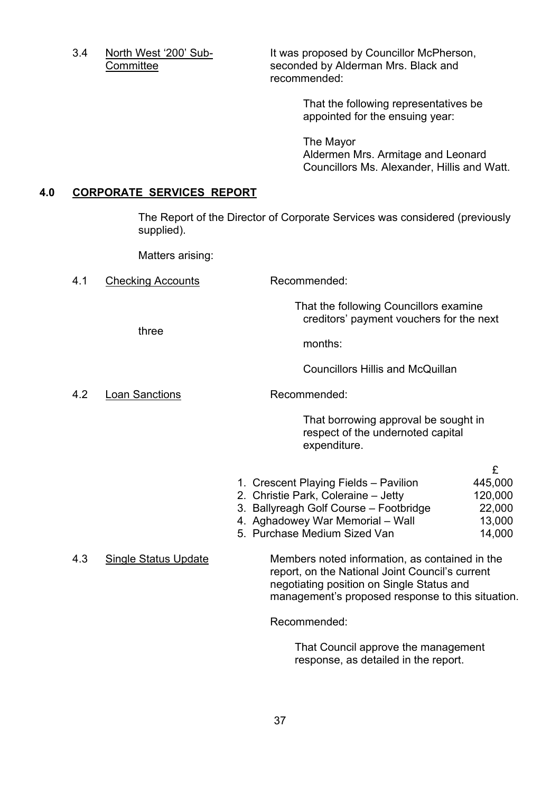3.4 North West '200' Sub-<br>It was proposed by Councillor McPherson, **Committee Seconded by Alderman Mrs. Black and Seconded by Alderman Mrs. Black and** recommended:

> That the following representatives be appointed for the ensuing year:

The Mayor Aldermen Mrs. Armitage and Leonard Councillors Ms. Alexander, Hillis and Watt.

#### **4.0 CORPORATE SERVICES REPORT**

The Report of the Director of Corporate Services was considered (previously supplied).

Matters arising:

4.1 Checking Accounts Recommended:

 That the following Councillors examine creditors' payment vouchers for the next

three

months:

Councillors Hillis and McQuillan

4.2 Loan Sanctions Recommended:

That borrowing approval be sought in respect of the undernoted capital expenditure.

| 1. Crescent Playing Fields - Pavilion | 445,000 |
|---------------------------------------|---------|
| 2. Christie Park, Coleraine - Jetty   | 120,000 |

- 3. Ballyreagh Golf Course Footbridge 22,000
- 4. Aghadowey War Memorial Wall 13,000
- 5. Purchase Medium Sized Van 14,000

4.3 Single Status Update Members noted information, as contained in the report, on the National Joint Council's current negotiating position on Single Status and management's proposed response to this situation.

Recommended:

 That Council approve the management response, as detailed in the report.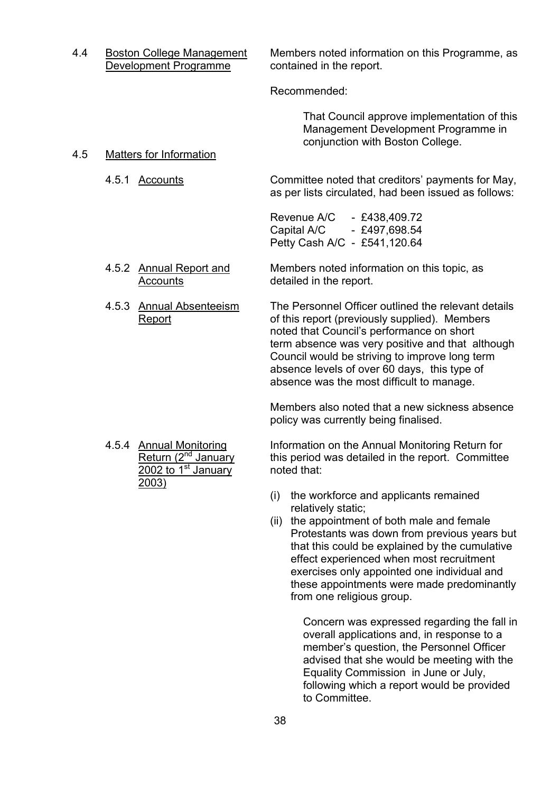4.4 Boston College Management Members noted information on this Programme, as Development Programme contained in the report.

Recommended:

 That Council approve implementation of this Management Development Programme in conjunction with Boston College.

4.5 Matters for Information

 4.5.1 Accounts Committee noted that creditorsí payments for May, as per lists circulated, had been issued as follows:

> Revenue A/C - £438,409.72 Capital A/C - £497,698,54 Petty Cash A/C - £541,120.64

- 4.5.2 Annual Report and Members noted information on this topic, as Accounts detailed in the report.
- 4.5.3 Annual Absenteeism The Personnel Officer outlined the relevant details Report **Example 2** of this report (previously supplied). Members noted that Council's performance on short term absence was very positive and that although Council would be striving to improve long term absence levels of over 60 days, this type of

Members also noted that a new sickness absence policy was currently being finalised.

absence was the most difficult to manage.

 $2002$  to  $1<sup>st</sup>$  January noted that: 2003)

4.5.4 <u>Annual Monitoring</u> Information on the Annual Monitoring Return for<br>Return (2<sup>nd</sup> January this period was detailed in the report. Committee this period was detailed in the report. Committee

- (i) the workforce and applicants remained relatively static;
- (ii) the appointment of both male and female Protestants was down from previous years but that this could be explained by the cumulative effect experienced when most recruitment exercises only appointed one individual and these appointments were made predominantly from one religious group.

Concern was expressed regarding the fall in overall applications and, in response to a member's question, the Personnel Officer advised that she would be meeting with the Equality Commission in June or July, following which a report would be provided to Committee.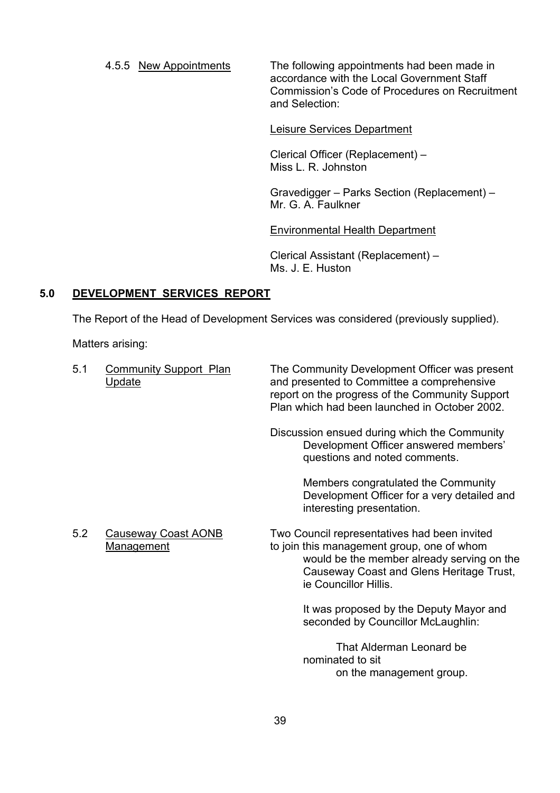4.5.5 New Appointments The following appointments had been made in accordance with the Local Government Staff Commission's Code of Procedures on Recruitment and Selection:

#### Leisure Services Department

Clerical Officer (Replacement) -Miss L. R. Johnston

Gravedigger – Parks Section (Replacement) – Mr. G. A. Faulkner

#### Environmental Health Department

Clerical Assistant (Replacement) -Ms. J. E. Huston

#### **5.0 DEVELOPMENT SERVICES REPORT**

The Report of the Head of Development Services was considered (previously supplied).

Matters arising:

| 5.1 | <b>Community Support Plan</b><br>Update         | The Community Development Officer was present<br>and presented to Committee a comprehensive<br>report on the progress of the Community Support<br>Plan which had been launched in October 2002.               |  |
|-----|-------------------------------------------------|---------------------------------------------------------------------------------------------------------------------------------------------------------------------------------------------------------------|--|
|     |                                                 | Discussion ensued during which the Community<br>Development Officer answered members'<br>questions and noted comments.                                                                                        |  |
|     |                                                 | Members congratulated the Community<br>Development Officer for a very detailed and<br>interesting presentation.                                                                                               |  |
| 5.2 | <b>Causeway Coast AONB</b><br><b>Management</b> | Two Council representatives had been invited<br>to join this management group, one of whom<br>would be the member already serving on the<br>Causeway Coast and Glens Heritage Trust,<br>ie Councillor Hillis. |  |
|     |                                                 | It was proposed by the Deputy Mayor and<br>seconded by Councillor McLaughlin:                                                                                                                                 |  |
|     |                                                 | That Alderman Leonard be<br>nominated to sit<br>on the management group.                                                                                                                                      |  |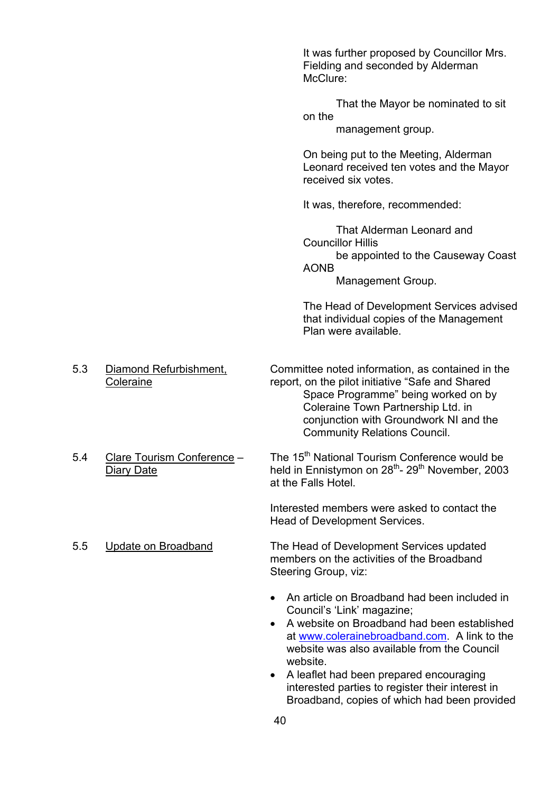|     |                                            | It was further proposed by Councillor Mrs.<br>Fielding and seconded by Alderman<br>McClure:                                                                                                                                                                                                                                                                                         |
|-----|--------------------------------------------|-------------------------------------------------------------------------------------------------------------------------------------------------------------------------------------------------------------------------------------------------------------------------------------------------------------------------------------------------------------------------------------|
|     |                                            | That the Mayor be nominated to sit<br>on the<br>management group.                                                                                                                                                                                                                                                                                                                   |
|     |                                            | On being put to the Meeting, Alderman<br>Leonard received ten votes and the Mayor<br>received six votes.                                                                                                                                                                                                                                                                            |
|     |                                            | It was, therefore, recommended:                                                                                                                                                                                                                                                                                                                                                     |
|     |                                            | That Alderman Leonard and<br><b>Councillor Hillis</b><br>be appointed to the Causeway Coast<br><b>AONB</b><br>Management Group.                                                                                                                                                                                                                                                     |
|     |                                            | The Head of Development Services advised<br>that individual copies of the Management<br>Plan were available.                                                                                                                                                                                                                                                                        |
| 5.3 | Diamond Refurbishment,<br><b>Coleraine</b> | Committee noted information, as contained in the<br>report, on the pilot initiative "Safe and Shared<br>Space Programme" being worked on by<br>Coleraine Town Partnership Ltd. in<br>conjunction with Groundwork NI and the<br><b>Community Relations Council.</b>                                                                                                                  |
| 5.4 | Clare Tourism Conference -<br>Diary Date   | The 15 <sup>th</sup> National Tourism Conference would be<br>held in Ennistymon on 28 <sup>th</sup> - 29 <sup>th</sup> November, 2003<br>at the Falls Hotel.                                                                                                                                                                                                                        |
|     |                                            | Interested members were asked to contact the<br>Head of Development Services.                                                                                                                                                                                                                                                                                                       |
| 5.5 | Update on Broadband                        | The Head of Development Services updated<br>members on the activities of the Broadband<br>Steering Group, viz:                                                                                                                                                                                                                                                                      |
|     |                                            | An article on Broadband had been included in<br>Council's 'Link' magazine;<br>A website on Broadband had been established<br>at www.colerainebroadband.com. A link to the<br>website was also available from the Council<br>website.<br>A leaflet had been prepared encouraging<br>interested parties to register their interest in<br>Broadband, copies of which had been provided |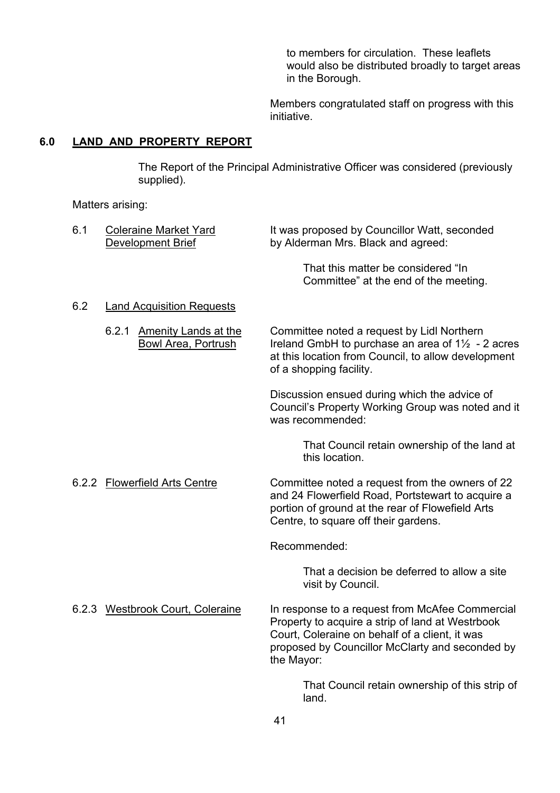to members for circulation. These leaflets would also be distributed broadly to target areas in the Borough.

Members congratulated staff on progress with this initiative.

# **6.0 LAND AND PROPERTY REPORT**

The Report of the Principal Administrative Officer was considered (previously supplied).

Matters arising:

| 6.1 | <b>Coleraine Market Yard</b><br><b>Development Brief</b>           | It was proposed by Councillor Watt, seconded<br>by Alderman Mrs. Black and agreed:                                                                                                                                     |
|-----|--------------------------------------------------------------------|------------------------------------------------------------------------------------------------------------------------------------------------------------------------------------------------------------------------|
|     |                                                                    | That this matter be considered "In<br>Committee" at the end of the meeting.                                                                                                                                            |
| 6.2 | <b>Land Acquisition Requests</b>                                   |                                                                                                                                                                                                                        |
|     | 6.2.1<br><b>Amenity Lands at the</b><br><b>Bowl Area, Portrush</b> | Committee noted a request by Lidl Northern<br>Ireland GmbH to purchase an area of $1\frac{1}{2}$ - 2 acres<br>at this location from Council, to allow development<br>of a shopping facility.                           |
|     |                                                                    | Discussion ensued during which the advice of<br>Council's Property Working Group was noted and it<br>was recommended:                                                                                                  |
|     |                                                                    | That Council retain ownership of the land at<br>this location.                                                                                                                                                         |
|     | 6.2.2 Flowerfield Arts Centre                                      | Committee noted a request from the owners of 22<br>and 24 Flowerfield Road, Portstewart to acquire a<br>portion of ground at the rear of Flowefield Arts<br>Centre, to square off their gardens.                       |
|     |                                                                    | Recommended:                                                                                                                                                                                                           |
|     |                                                                    | That a decision be deferred to allow a site<br>visit by Council.                                                                                                                                                       |
|     | 6.2.3 Westbrook Court, Coleraine                                   | In response to a request from McAfee Commercial<br>Property to acquire a strip of land at Westrbook<br>Court, Coleraine on behalf of a client, it was<br>proposed by Councillor McClarty and seconded by<br>the Mayor: |
|     |                                                                    | That Council retain ownership of this strip of<br>land.                                                                                                                                                                |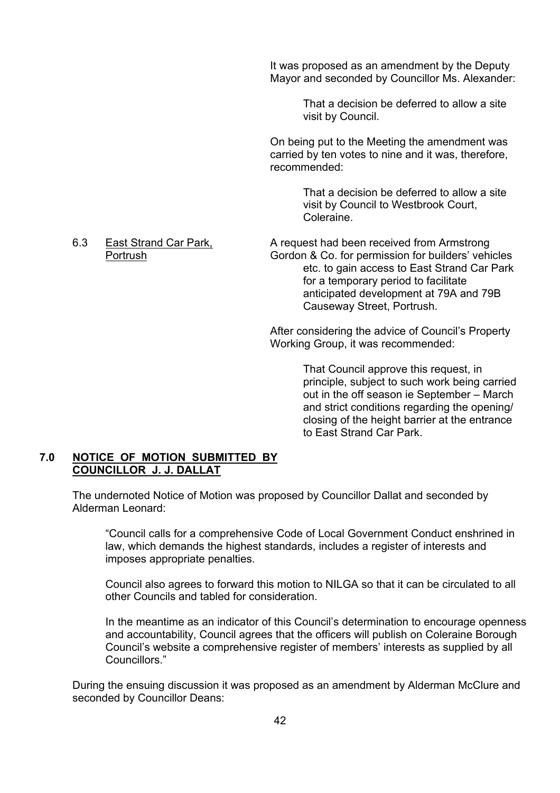It was proposed as an amendment by the Deputy Mayor and seconded by Councillor Ms. Alexander:

> That a decision be deferred to allow a site visit by Council.

On being put to the Meeting the amendment was carried by ten votes to nine and it was, therefore, recommended:

> That a decision be deferred to allow a site visit by Council to Westbrook Court, Coleraine.

6.3 East Strand Car Park, A request had been received from Armstrong Portrush Gordon & Co. for permission for builders' vehicles etc. to gain access to East Strand Car Park for a temporary period to facilitate anticipated development at 79A and 79B Causeway Street, Portrush.

> After considering the advice of Council's Property Working Group, it was recommended:

> > That Council approve this request, in principle, subject to such work being carried out in the off season ie September – March and strict conditions regarding the opening/ closing of the height barrier at the entrance to East Strand Car Park.

#### **7.0 NOTICE OF MOTION SUBMITTED BY COUNCILLOR J. J. DALLAT**

 The undernoted Notice of Motion was proposed by Councillor Dallat and seconded by Alderman Leonard:

ìCouncil calls for a comprehensive Code of Local Government Conduct enshrined in law, which demands the highest standards, includes a register of interests and imposes appropriate penalties.

Council also agrees to forward this motion to NILGA so that it can be circulated to all other Councils and tabled for consideration.

In the meantime as an indicator of this Council's determination to encourage openness and accountability, Council agrees that the officers will publish on Coleraine Borough Council's website a comprehensive register of members' interests as supplied by all Councillors."

During the ensuing discussion it was proposed as an amendment by Alderman McClure and seconded by Councillor Deans: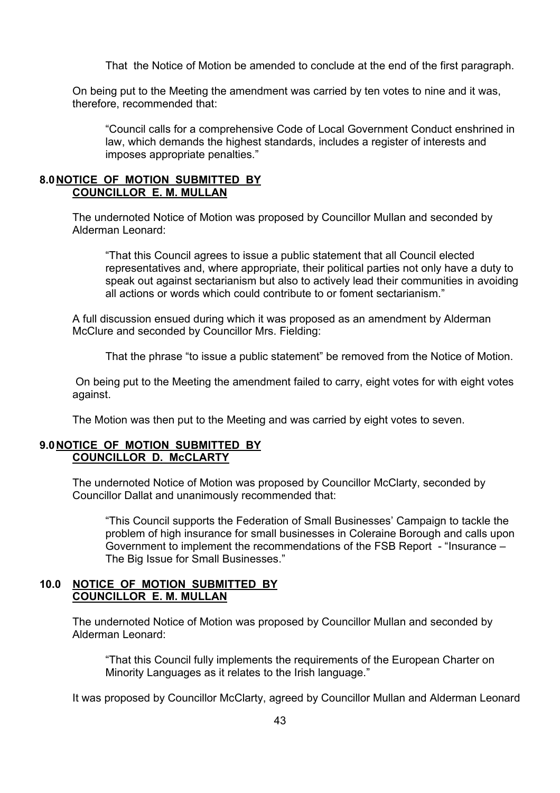That the Notice of Motion be amended to conclude at the end of the first paragraph.

On being put to the Meeting the amendment was carried by ten votes to nine and it was, therefore, recommended that:

ìCouncil calls for a comprehensive Code of Local Government Conduct enshrined in law, which demands the highest standards, includes a register of interests and imposes appropriate penalties."

#### **8.0 NOTICE OF MOTION SUBMITTED BY COUNCILLOR E. M. MULLAN**

The undernoted Notice of Motion was proposed by Councillor Mullan and seconded by Alderman Leonard:

ìThat this Council agrees to issue a public statement that all Council elected representatives and, where appropriate, their political parties not only have a duty to speak out against sectarianism but also to actively lead their communities in avoiding all actions or words which could contribute to or foment sectarianism."

A full discussion ensued during which it was proposed as an amendment by Alderman McClure and seconded by Councillor Mrs. Fielding:

That the phrase "to issue a public statement" be removed from the Notice of Motion.

 On being put to the Meeting the amendment failed to carry, eight votes for with eight votes against.

The Motion was then put to the Meeting and was carried by eight votes to seven.

#### **9.0 NOTICE OF MOTION SUBMITTED BY COUNCILLOR D. McCLARTY**

The undernoted Notice of Motion was proposed by Councillor McClarty, seconded by Councillor Dallat and unanimously recommended that:

ìThis Council supports the Federation of Small Businessesí Campaign to tackle the problem of high insurance for small businesses in Coleraine Borough and calls upon Government to implement the recommendations of the FSB Report - "Insurance – The Big Issue for Small Businesses.<sup>"</sup>

#### **10.0 NOTICE OF MOTION SUBMITTED BY COUNCILLOR E. M. MULLAN**

The undernoted Notice of Motion was proposed by Councillor Mullan and seconded by Alderman Leonard:

ìThat this Council fully implements the requirements of the European Charter on Minority Languages as it relates to the Irish language."

It was proposed by Councillor McClarty, agreed by Councillor Mullan and Alderman Leonard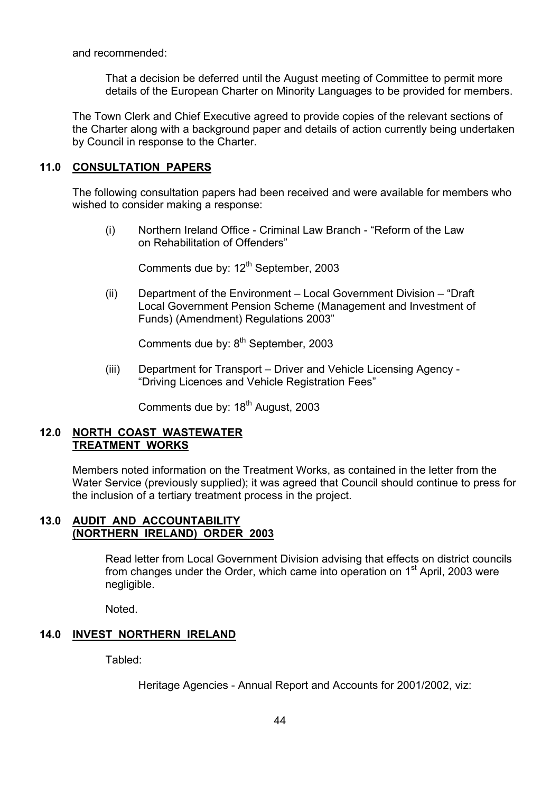and recommended:

 That a decision be deferred until the August meeting of Committee to permit more details of the European Charter on Minority Languages to be provided for members.

 The Town Clerk and Chief Executive agreed to provide copies of the relevant sections of the Charter along with a background paper and details of action currently being undertaken by Council in response to the Charter.

#### **11.0 CONSULTATION PAPERS**

The following consultation papers had been received and were available for members who wished to consider making a response:

(i) Northern Ireland Office - Criminal Law Branch - "Reform of the Law on Rehabilitation of Offenders"

Comments due by: 12<sup>th</sup> September, 2003

(ii) Department of the Environment  $-$  Local Government Division  $-$  "Draft" Local Government Pension Scheme (Management and Investment of Funds) (Amendment) Regulations 2003"

Comments due by: 8<sup>th</sup> September, 2003

(iii) Department for Transport – Driver and Vehicle Licensing Agency -"Driving Licences and Vehicle Registration Fees"

Comments due by: 18<sup>th</sup> August, 2003

#### **12.0 NORTH COAST WASTEWATER TREATMENT WORKS**

 Members noted information on the Treatment Works, as contained in the letter from the Water Service (previously supplied); it was agreed that Council should continue to press for the inclusion of a tertiary treatment process in the project.

## **13.0 AUDIT AND ACCOUNTABILITY (NORTHERN IRELAND) ORDER 2003**

 Read letter from Local Government Division advising that effects on district councils from changes under the Order, which came into operation on  $1<sup>st</sup>$  April, 2003 were negligible.

Noted.

## **14.0 INVEST NORTHERN IRELAND**

Tabled:

Heritage Agencies - Annual Report and Accounts for 2001/2002, viz: